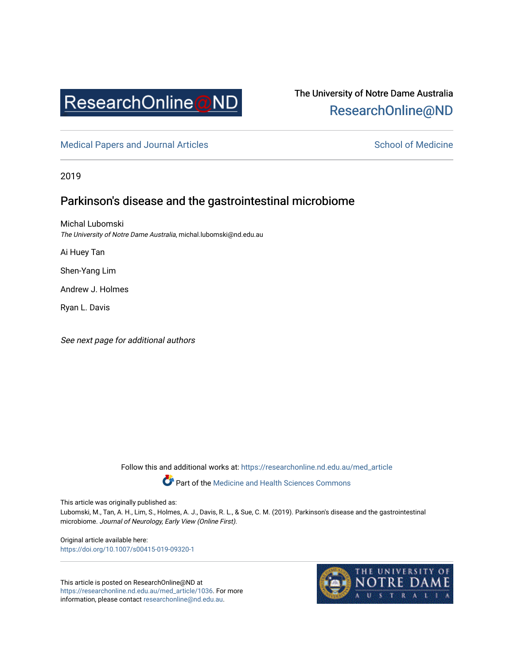

# The University of Notre Dame Australia [ResearchOnline@ND](https://researchonline.nd.edu.au/)

[Medical Papers and Journal Articles](https://researchonline.nd.edu.au/med_article) and School of Medicine

2019

# Parkinson's disease and the gastrointestinal microbiome

Michal Lubomski The University of Notre Dame Australia, michal.lubomski@nd.edu.au

Ai Huey Tan

Shen-Yang Lim

Andrew J. Holmes

Ryan L. Davis

See next page for additional authors

Follow this and additional works at: [https://researchonline.nd.edu.au/med\\_article](https://researchonline.nd.edu.au/med_article?utm_source=researchonline.nd.edu.au%2Fmed_article%2F1036&utm_medium=PDF&utm_campaign=PDFCoverPages) 

Part of the [Medicine and Health Sciences Commons](http://network.bepress.com/hgg/discipline/648?utm_source=researchonline.nd.edu.au%2Fmed_article%2F1036&utm_medium=PDF&utm_campaign=PDFCoverPages)

This article was originally published as:

Lubomski, M., Tan, A. H., Lim, S., Holmes, A. J., Davis, R. L., & Sue, C. M. (2019). Parkinson's disease and the gastrointestinal microbiome. Journal of Neurology, Early View (Online First).

Original article available here: <https://doi.org/10.1007/s00415-019-09320-1>

This article is posted on ResearchOnline@ND at [https://researchonline.nd.edu.au/med\\_article/1036.](https://researchonline.nd.edu.au/med_article/1036) For more information, please contact [researchonline@nd.edu.au.](mailto:researchonline@nd.edu.au)

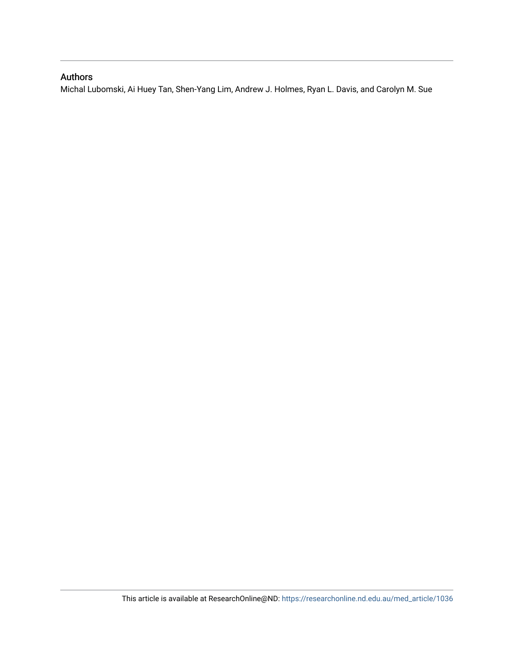# Authors

Michal Lubomski, Ai Huey Tan, Shen-Yang Lim, Andrew J. Holmes, Ryan L. Davis, and Carolyn M. Sue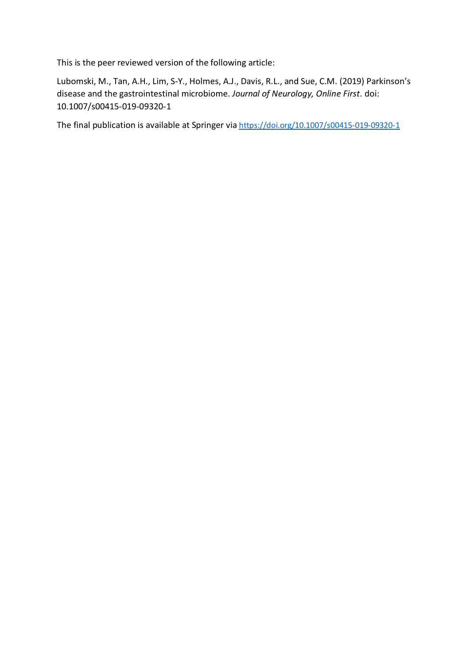This is the peer reviewed version of the following article:

Lubomski, M., Tan, A.H., Lim, S-Y., Holmes, A.J., Davis, R.L., and Sue, C.M. (2019) Parkinson's disease and the gastrointestinal microbiome. *Journal of Neurology, Online First*. doi: 10.1007/s00415-019-09320-1

The final publication is available at Springer via [https://doi.org/1](https://doi.org/)0.1007/s00415-019-09320-1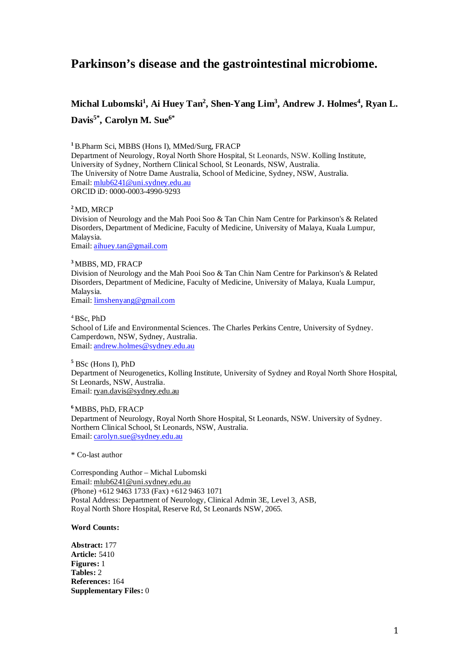# **Parkinson's disease and the gastrointestinal microbiome.**

# **Michal Lubomski1 , Ai Huey Tan2 , Shen-Yang Lim3 , Andrew J. Holmes<sup>4</sup> , Ryan L. Davis5\* , Carolyn M. Sue6\***

**<sup>1</sup>**B.Pharm Sci, MBBS (Hons I), MMed/Surg, FRACP Department of Neurology, Royal North Shore Hospital, St Leonards, NSW. Kolling Institute, University of Sydney, Northern Clinical School, St Leonards, NSW, Australia. The University of Notre Dame Australia, School of Medicine, Sydney, NSW, Australia. Email: [mlub6241@uni.sydney.edu.au](mailto:mlub6241@uni.sydney.edu.au) ORCID iD: 0000-0003-4990-9293

# **<sup>2</sup>** MD, MRCP

Division of Neurology and the Mah Pooi Soo & Tan Chin Nam Centre for Parkinson's & Related Disorders, Department of Medicine, Faculty of Medicine, University of Malaya, Kuala Lumpur, Malaysia.

Email: [aihuey.tan@gmail.com](mailto:aihuey.tan@gmail.com)

# **<sup>3</sup>** MBBS, MD, FRACP

Division of Neurology and the Mah Pooi Soo & Tan Chin Nam Centre for Parkinson's & Related Disorders, Department of Medicine, Faculty of Medicine, University of Malaya, Kuala Lumpur, Malaysia.

Email: [limshenyang@gmail.com](mailto:limshenyang@gmail.com)

4BSc, PhD School of Life and Environmental Sciences. The Charles Perkins Centre, University of Sydney. Camperdown, NSW, Sydney, Australia. Email: [andrew.holmes@sydney.edu.au](mailto:andrew.holmes@sydney.edu.au)

**<sup>5</sup>** BSc (Hons I), PhD Department of Neurogenetics, Kolling Institute, University of Sydney and Royal North Shore Hospital, St Leonards, NSW, Australia. Email: [ryan.davis@sydney.edu.au](mailto:ryan.davis@sydney.edu.au)

**<sup>6</sup>**MBBS, PhD, FRACP Department of Neurology, Royal North Shore Hospital, St Leonards, NSW. University of Sydney. Northern Clinical School, St Leonards, NSW, Australia. Email: [carolyn.sue@sydney.edu.au](mailto:carolyn.sue@sydney.edu.au)

\* Co-last author

Corresponding Author – Michal Lubomski Email: mlub6241@uni.sydney.edu.au (Phone) +612 9463 1733 (Fax) +612 9463 1071 Postal Address: Department of Neurology, Clinical Admin 3E, Level 3, ASB, Royal North Shore Hospital, Reserve Rd, St Leonards NSW, 2065.

# **Word Counts:**

**Abstract:** 177 **Article:** 5410 **Figures:** 1 **Tables:** 2 **References:** 164 **Supplementary Files:** 0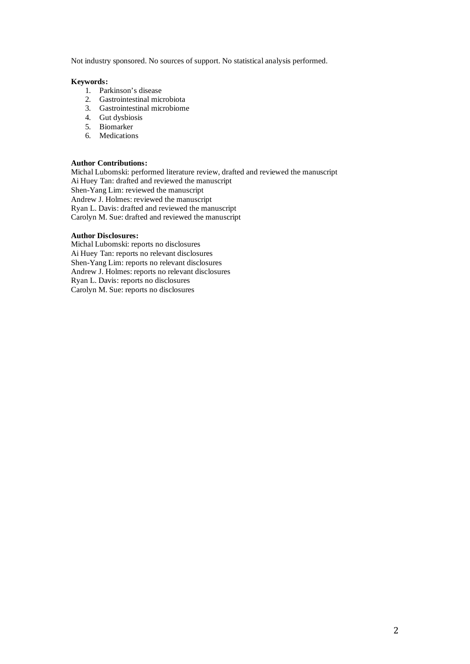Not industry sponsored. No sources of support. No statistical analysis performed.

# **Keywords:**

- 1. Parkinson's disease
- 2. Gastrointestinal microbiota
- 3. Gastrointestinal microbiome
- 4. Gut dysbiosis
- 5. Biomarker
- 6. Medications

# **Author Contributions:**

Michal Lubomski: performed literature review, drafted and reviewed the manuscript Ai Huey Tan: drafted and reviewed the manuscript Shen-Yang Lim: reviewed the manuscript Andrew J. Holmes: reviewed the manuscript Ryan L. Davis: drafted and reviewed the manuscript Carolyn M. Sue: drafted and reviewed the manuscript

## **Author Disclosures:**

Michal Lubomski: reports no disclosures Ai Huey Tan: reports no relevant disclosures Shen-Yang Lim: reports no relevant disclosures Andrew J. Holmes: reports no relevant disclosures Ryan L. Davis: reports no disclosures Carolyn M. Sue: reports no disclosures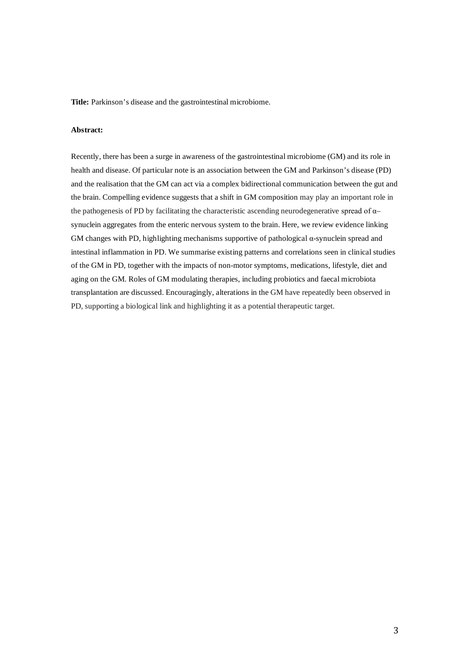**Title:** Parkinson's disease and the gastrointestinal microbiome.

# **Abstract:**

Recently, there has been a surge in awareness of the gastrointestinal microbiome (GM) and its role in health and disease. Of particular note is an association between the GM and Parkinson's disease (PD) and the realisation that the GM can act via a complex bidirectional communication between the gut and the brain. Compelling evidence suggests that a shift in GM composition may play an important role in the pathogenesis of PD by facilitating the characteristic ascending neurodegenerative spread of α– synuclein aggregates from the enteric nervous system to the brain. Here, we review evidence linking GM changes with PD, highlighting mechanisms supportive of pathological α-synuclein spread and intestinal inflammation in PD. We summarise existing patterns and correlations seen in clinical studies of the GM in PD, together with the impacts of non-motor symptoms, medications, lifestyle, diet and aging on the GM. Roles of GM modulating therapies, including probiotics and faecal microbiota transplantation are discussed. Encouragingly, alterations in the GM have repeatedly been observed in PD, supporting a biological link and highlighting it as a potential therapeutic target.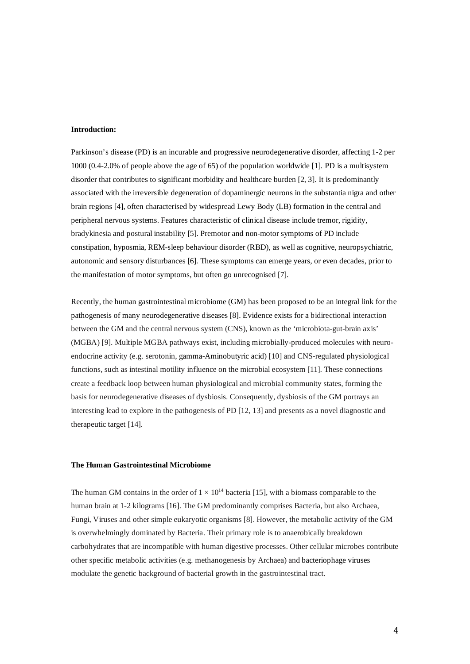### **Introduction:**

Parkinson's disease (PD) is an incurable and progressive neurodegenerative disorder, affecting 1-2 per 1000 (0.4-2.0% of people above the age of 65) of the population worldwide [1]. PD is a multisystem disorder that contributes to significant morbidity and healthcare burden [2, 3]. It is predominantly associated with the irreversible degeneration of dopaminergic neurons in the substantia nigra and other brain regions [4], often characterised by widespread Lewy Body (LB) formation in the central and peripheral nervous systems. Features characteristic of clinical disease include tremor, rigidity, bradykinesia and postural instability [5]. Premotor and non-motor symptoms of PD include constipation, hyposmia, REM-sleep behaviour disorder (RBD), as well as cognitive, neuropsychiatric, autonomic and sensory disturbances [6]. These symptoms can emerge years, or even decades, prior to the manifestation of motor symptoms, but often go unrecognised [7].

Recently, the human gastrointestinal microbiome (GM) has been proposed to be an integral link for the pathogenesis of many neurodegenerative diseases [8]. Evidence exists for a bidirectional interaction between the GM and the central nervous system (CNS), known as the 'microbiota-gut-brain axis' (MGBA) [9]. Multiple MGBA pathways exist, including microbially-produced molecules with neuroendocrine activity (e.g. serotonin, gamma-Aminobutyric acid) [10] and CNS-regulated physiological functions, such as intestinal motility influence on the microbial ecosystem [11]. These connections create a feedback loop between human physiological and microbial community states, forming the basis for neurodegenerative diseases of dysbiosis. Consequently, dysbiosis of the GM portrays an interesting lead to explore in the pathogenesis of PD [12, 13] and presents as a novel diagnostic and therapeutic target [14].

### **The Human Gastrointestinal Microbiome**

The human GM contains in the order of  $1 \times 10^{14}$  bacteria [15], with a biomass comparable to the human brain at 1-2 kilograms [16]. The GM predominantly comprises Bacteria, but also Archaea, Fungi, Viruses and other simple eukaryotic organisms [8]. However, the metabolic activity of the GM is overwhelmingly dominated by Bacteria. Their primary role is to anaerobically breakdown carbohydrates that are incompatible with human digestive processes. Other cellular microbes contribute other specific metabolic activities (e.g. methanogenesis by Archaea) and bacteriophage viruses modulate the genetic background of bacterial growth in the gastrointestinal tract.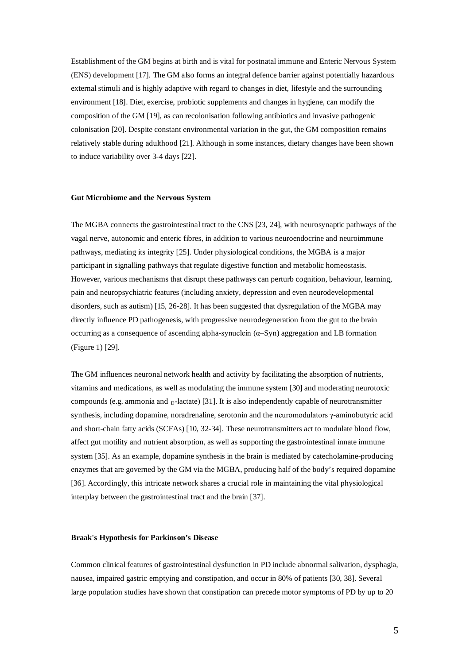Establishment of the GM begins at birth and is vital for postnatal immune and Enteric Nervous System (ENS) development [17]. The GM also forms an integral defence barrier against potentially hazardous external stimuli and is highly adaptive with regard to changes in diet, lifestyle and the surrounding environment [18]. Diet, exercise, probiotic supplements and changes in hygiene, can modify the composition of the GM [19], as can recolonisation following antibiotics and invasive pathogenic colonisation [20]. Despite constant environmental variation in the gut, the GM composition remains relatively stable during adulthood [21]. Although in some instances, dietary changes have been shown to induce variability over 3-4 days [22].

#### **Gut Microbiome and the Nervous System**

The MGBA connects the gastrointestinal tract to the CNS [23, 24], with neurosynaptic pathways of the vagal nerve, autonomic and enteric fibres, in addition to various neuroendocrine and neuroimmune pathways, mediating its integrity [25]. Under physiological conditions, the MGBA is a major participant in signalling pathways that regulate digestive function and metabolic homeostasis. However, various mechanisms that disrupt these pathways can perturb cognition, behaviour, learning, pain and neuropsychiatric features (including anxiety, depression and even neurodevelopmental disorders, such as autism) [15, 26-28]. It has been suggested that dysregulation of the MGBA may directly influence PD pathogenesis, with progressive neurodegeneration from the gut to the brain occurring as a consequence of ascending alpha-synuclein (α–Syn) aggregation and LB formation (Figure 1) [29].

The GM influences neuronal network health and activity by facilitating the absorption of nutrients, vitamins and medications, as well as modulating the immune system [30] and moderating neurotoxic compounds (e.g. ammonia and  $<sub>D</sub>$ -lactate) [31]. It is also independently capable of neurotransmitter</sub> synthesis, including dopamine, noradrenaline, serotonin and the neuromodulators γ-aminobutyric acid and short-chain fatty acids (SCFAs) [10, 32-34]. These neurotransmitters act to modulate blood flow, affect gut motility and nutrient absorption, as well as supporting the gastrointestinal innate immune system [35]. As an example, dopamine synthesis in the brain is mediated by catecholamine-producing enzymes that are governed by the GM via the MGBA, producing half of the body's required dopamine [36]. Accordingly, this intricate network shares a crucial role in maintaining the vital physiological interplay between the gastrointestinal tract and the brain [37].

#### **Braak's Hypothesis for Parkinson's Disease**

Common clinical features of gastrointestinal dysfunction in PD include abnormal salivation, dysphagia, nausea, impaired gastric emptying and constipation, and occur in 80% of patients [30, 38]. Several large population studies have shown that constipation can precede motor symptoms of PD by up to 20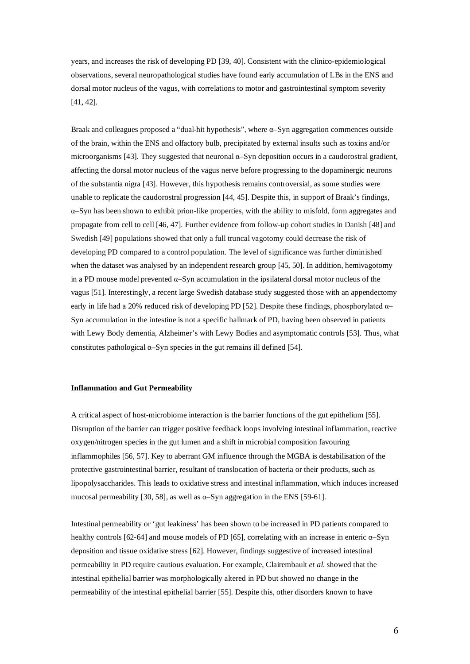years, and increases the risk of developing PD [39, 40]. Consistent with the clinico-epidemiological observations, several neuropathological studies have found early accumulation of LBs in the ENS and dorsal motor nucleus of the vagus, with correlations to motor and gastrointestinal symptom severity [41, 42].

Braak and colleagues proposed a "dual-hit hypothesis", where  $\alpha$ -Syn aggregation commences outside of the brain, within the ENS and olfactory bulb, precipitated by external insults such as toxins and/or microorganisms [43]. They suggested that neuronal  $\alpha$ -Syn deposition occurs in a caudorostral gradient, affecting the dorsal motor nucleus of the vagus nerve before progressing to the dopaminergic neurons of the substantia nigra [43]. However, this hypothesis remains controversial, as some studies were unable to replicate the caudorostral progression [44, 45]. Despite this, in support of Braak's findings, α–Syn has been shown to exhibit prion-like properties, with the ability to misfold, form aggregates and propagate from cell to cell [46, 47]. Further evidence from follow-up cohort studies in Danish [48] and Swedish [49] populations showed that only a full truncal vagotomy could decrease the risk of developing PD compared to a control population. The level of significance was further diminished when the dataset was analysed by an independent research group [45, 50]. In addition, hemivagotomy in a PD mouse model prevented α–Syn accumulation in the ipsilateral dorsal motor nucleus of the vagus [51]. Interestingly, a recent large Swedish database study suggested those with an appendectomy early in life had a 20% reduced risk of developing PD [52]. Despite these findings, phosphorylated α– Syn accumulation in the intestine is not a specific hallmark of PD, having been observed in patients with Lewy Body dementia, Alzheimer's with Lewy Bodies and asymptomatic controls [53]. Thus, what constitutes pathological  $\alpha$ -Syn species in the gut remains ill defined [54].

#### **Inflammation and Gut Permeability**

A critical aspect of host-microbiome interaction is the barrier functions of the gut epithelium [55]. Disruption of the barrier can trigger positive feedback loops involving intestinal inflammation, reactive oxygen/nitrogen species in the gut lumen and a shift in microbial composition favouring inflammophiles [56, 57]. Key to aberrant GM influence through the MGBA is destabilisation of the protective gastrointestinal barrier, resultant of translocation of bacteria or their products, such as lipopolysaccharides. This leads to oxidative stress and intestinal inflammation, which induces increased mucosal permeability [30, 58], as well as  $\alpha$ -Syn aggregation in the ENS [59-61].

Intestinal permeability or 'gut leakiness' has been shown to be increased in PD patients compared to healthy controls [62-64] and mouse models of PD [65], correlating with an increase in enteric  $\alpha$ –Syn deposition and tissue oxidative stress [62]. However, findings suggestive of increased intestinal permeability in PD require cautious evaluation. For example, Clairembault *et al*. showed that the intestinal epithelial barrier was morphologically altered in PD but showed no change in the permeability of the intestinal epithelial barrier [55]. Despite this, other disorders known to have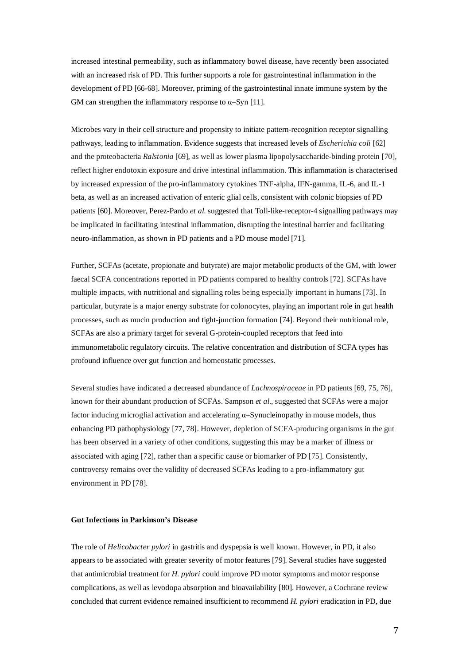increased intestinal permeability, such as inflammatory bowel disease, have recently been associated with an increased risk of PD. This further supports a role for gastrointestinal inflammation in the development of PD [66-68]. Moreover, priming of the gastrointestinal innate immune system by the GM can strengthen the inflammatory response to  $\alpha$ –Syn [11].

Microbes vary in their cell structure and propensity to initiate pattern-recognition receptor signalling pathways, leading to inflammation. Evidence suggests that increased levels of *Escherichia coli* [62] and the proteobacteria *Ralstonia* [69], as well as lower plasma lipopolysaccharide-binding protein [70], reflect higher endotoxin exposure and drive intestinal inflammation. This inflammation is characterised by increased expression of the pro-inflammatory cytokines TNF-alpha, IFN-gamma, IL-6, and IL-1 beta, as well as an increased activation of enteric glial cells, consistent with colonic biopsies of PD patients [60]. Moreover, Perez-Pardo *et al*. suggested that Toll-like-receptor-4 signalling pathways may be implicated in facilitating intestinal inflammation, disrupting the intestinal barrier and facilitating neuro-inflammation, as shown in PD patients and a PD mouse model [71].

Further, SCFAs (acetate, propionate and butyrate) are major metabolic products of the GM, with lower faecal SCFA concentrations reported in PD patients compared to healthy controls [72]. SCFAs have multiple impacts, with nutritional and signalling roles being especially important in humans [73]. In particular, butyrate is a major energy substrate for colonocytes, playing an important role in gut health processes, such as mucin production and tight-junction formation [74]. Beyond their nutritional role, SCFAs are also a primary target for several G-protein-coupled receptors that feed into immunometabolic regulatory circuits. The relative concentration and distribution of SCFA types has profound influence over gut function and homeostatic processes.

Several studies have indicated a decreased abundance of *Lachnospiraceae* in PD patients [69, 75, 76], known for their abundant production of SCFAs. Sampson *et al*., suggested that SCFAs were a major factor inducing microglial activation and accelerating  $\alpha$ –Synucleinopathy in mouse models, thus enhancing PD pathophysiology [77, 78]. However, depletion of SCFA-producing organisms in the gut has been observed in a variety of other conditions, suggesting this may be a marker of illness or associated with aging [72], rather than a specific cause or biomarker of PD [75]. Consistently, controversy remains over the validity of decreased SCFAs leading to a pro-inflammatory gut environment in PD [78].

#### **Gut Infections in Parkinson's Disease**

The role of *Helicobacter pylori* in gastritis and dyspepsia is well known. However, in PD, it also appears to be associated with greater severity of motor features [79]. Several studies have suggested that antimicrobial treatment for *H. pylori* could improve PD motor symptoms and motor response complications, as well as levodopa absorption and bioavailability [80]. However, a Cochrane review concluded that current evidence remained insufficient to recommend *H. pylori* eradication in PD, due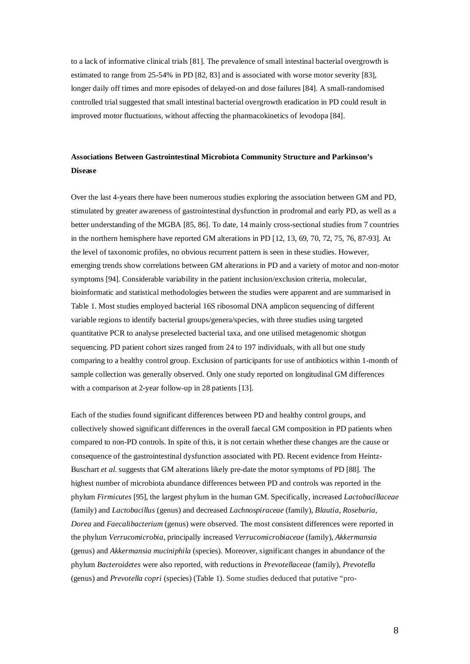to a lack of informative clinical trials [81]. The prevalence of small intestinal bacterial overgrowth is estimated to range from 25-54% in PD [82, 83] and is associated with worse motor severity [83], longer daily off times and more episodes of delayed-on and dose failures [84]. A small-randomised controlled trial suggested that small intestinal bacterial overgrowth eradication in PD could result in improved motor fluctuations, without affecting the pharmacokinetics of levodopa [84].

# **Associations Between Gastrointestinal Microbiota Community Structure and Parkinson's Disease**

Over the last 4-years there have been numerous studies exploring the association between GM and PD, stimulated by greater awareness of gastrointestinal dysfunction in prodromal and early PD, as well as a better understanding of the MGBA [85, 86]. To date, 14 mainly cross-sectional studies from 7 countries in the northern hemisphere have reported GM alterations in PD [12, 13, 69, 70, 72, 75, 76, 87-93]. At the level of taxonomic profiles, no obvious recurrent pattern is seen in these studies. However, emerging trends show correlations between GM alterations in PD and a variety of motor and non-motor symptoms [94]. Considerable variability in the patient inclusion/exclusion criteria, molecular, bioinformatic and statistical methodologies between the studies were apparent and are summarised in Table 1. Most studies employed bacterial 16S ribosomal DNA amplicon sequencing of different variable regions to identify bacterial groups/genera/species, with three studies using targeted quantitative PCR to analyse preselected bacterial taxa, and one utilised metagenomic shotgun sequencing. PD patient cohort sizes ranged from 24 to 197 individuals, with all but one study comparing to a healthy control group. Exclusion of participants for use of antibiotics within 1-month of sample collection was generally observed. Only one study reported on longitudinal GM differences with a comparison at 2-year follow-up in 28 patients [13].

Each of the studies found significant differences between PD and healthy control groups, and collectively showed significant differences in the overall faecal GM composition in PD patients when compared to non-PD controls. In spite of this, it is not certain whether these changes are the cause or consequence of the gastrointestinal dysfunction associated with PD. Recent evidence from Heintz-Buschart *et al*. suggests that GM alterations likely pre-date the motor symptoms of PD [88]. The highest number of microbiota abundance differences between PD and controls was reported in the phylum *Firmicutes* [95], the largest phylum in the human GM. Specifically, increased *Lactobacillaceae* (family) and *Lactobacillus* (genus) and decreased *Lachnospiraceae* (family), *Blautia*, *Roseburia*, *Dorea* and *Faecalibacterium* (genus) were observed. The most consistent differences were reported in the phylum *Verrucomicrobia*, principally increased *Verrucomicrobiaceae* (family), *Akkermansia* (genus) and *Akkermansia muciniphila* (species). Moreover, significant changes in abundance of the phylum *Bacteroidetes* were also reported, with reductions in *Prevotellaceae* (family), *Prevotella* (genus) and *Prevotella copri* (species) (Table 1). Some studies deduced that putative "pro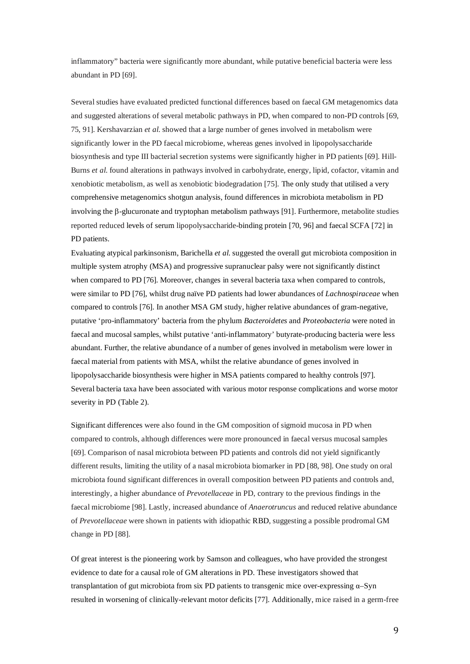inflammatory" bacteria were significantly more abundant, while putative beneficial bacteria were less abundant in PD [69].

Several studies have evaluated predicted functional differences based on faecal GM metagenomics data and suggested alterations of several metabolic pathways in PD, when compared to non-PD controls [69, 75, 91]. Kershavarzian *et al*. showed that a large number of genes involved in metabolism were significantly lower in the PD faecal microbiome, whereas genes involved in lipopolysaccharide biosynthesis and type III bacterial secretion systems were significantly higher in PD patients [69]. Hill-Burns *et al*. found alterations in pathways involved in carbohydrate, energy, lipid, cofactor, vitamin and xenobiotic metabolism, as well as xenobiotic biodegradation [75]. The only study that utilised a very comprehensive metagenomics shotgun analysis, found differences in microbiota metabolism in PD involving the β-glucuronate and tryptophan metabolism pathways [91]. Furthermore, metabolite studies reported reduced levels of serum lipopolysaccharide-binding protein [70, 96] and faecal SCFA [72] in PD patients.

Evaluating atypical parkinsonism, Barichella *et al*. suggested the overall gut microbiota composition in multiple system atrophy (MSA) and progressive supranuclear palsy were not significantly distinct when compared to PD [76]. Moreover, changes in several bacteria taxa when compared to controls, were similar to PD [76], whilst drug naïve PD patients had lower abundances of *Lachnospiraceae* when compared to controls [76]. In another MSA GM study, higher relative abundances of gram-negative, putative 'pro-inflammatory' bacteria from the phylum *Bacteroidetes* and *Proteobacteria* were noted in faecal and mucosal samples, whilst putative 'anti-inflammatory' butyrate-producing bacteria were less abundant. Further, the relative abundance of a number of genes involved in metabolism were lower in faecal material from patients with MSA, whilst the relative abundance of genes involved in lipopolysaccharide biosynthesis were higher in MSA patients compared to healthy controls [97]. Several bacteria taxa have been associated with various motor response complications and worse motor severity in PD (Table 2).

Significant differences were also found in the GM composition of sigmoid mucosa in PD when compared to controls, although differences were more pronounced in faecal versus mucosal samples [69]. Comparison of nasal microbiota between PD patients and controls did not yield significantly different results, limiting the utility of a nasal microbiota biomarker in PD [88, 98]. One study on oral microbiota found significant differences in overall composition between PD patients and controls and, interestingly, a higher abundance of *Prevotellaceae* in PD, contrary to the previous findings in the faecal microbiome [98]. Lastly, increased abundance of *Anaerotruncus* and reduced relative abundance of *Prevotellaceae* were shown in patients with idiopathic RBD, suggesting a possible prodromal GM change in PD [88].

Of great interest is the pioneering work by Samson and colleagues, who have provided the strongest evidence to date for a causal role of GM alterations in PD. These investigators showed that transplantation of gut microbiota from six PD patients to transgenic mice over-expressing  $\alpha$ –Syn resulted in worsening of clinically-relevant motor deficits [77]. Additionally, mice raised in a germ-free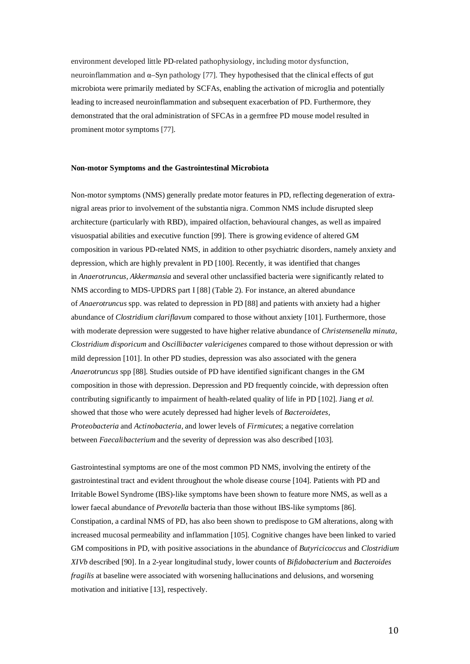environment developed little PD-related pathophysiology, including motor dysfunction, neuroinflammation and α–Syn pathology [77]. They hypothesised that the clinical effects of gut microbiota were primarily mediated by SCFAs, enabling the activation of microglia and potentially leading to increased neuroinflammation and subsequent exacerbation of PD. Furthermore, they demonstrated that the oral administration of SFCAs in a germfree PD mouse model resulted in prominent motor symptoms [77].

# **Non-motor Symptoms and the Gastrointestinal Microbiota**

Non-motor symptoms (NMS) generally predate motor features in PD, reflecting degeneration of extranigral areas prior to involvement of the substantia nigra. Common NMS include disrupted sleep architecture (particularly with RBD), impaired olfaction, behavioural changes, as well as impaired visuospatial abilities and executive function [99]. There is growing evidence of altered GM composition in various PD-related NMS, in addition to other psychiatric disorders, namely anxiety and depression, which are highly prevalent in PD [100]. Recently, it was identified that changes in *Anaerotruncus, Akkermansia* and several other unclassified bacteria were significantly related to NMS according to MDS-UPDRS part I [88] (Table 2). For instance, an altered abundance of *Anaerotruncus* spp. was related to depression in PD [88] and patients with anxiety had a higher abundance of *Clostridium clariflavum* compared to those without anxiety [101]. Furthermore, those with moderate depression were suggested to have higher relative abundance of *Christensenella minuta*, *Clostridium disporicum* and *Oscillibacter valericigenes* compared to those without depression or with mild depression [101]. In other PD studies, depression was also associated with the genera *Anaerotruncus* spp [88]. Studies outside of PD have identified significant changes in the GM composition in those with depression. Depression and PD frequently coincide, with depression often contributing significantly to impairment of health-related quality of life in PD [102]. Jiang *et al*. showed that those who were acutely depressed had higher levels of *Bacteroidetes, Proteobacteria* and *Actinobacteria,* and lower levels of *Firmicutes*; a negative correlation between *Faecalibacterium* and the severity of depression was also described [103].

Gastrointestinal symptoms are one of the most common PD NMS, involving the entirety of the gastrointestinal tract and evident throughout the whole disease course [104]. Patients with PD and Irritable Bowel Syndrome (IBS)-like symptoms have been shown to feature more NMS, as well as a lower faecal abundance of *Prevotella* bacteria than those without IBS-like symptoms [86]. Constipation, a cardinal NMS of PD, has also been shown to predispose to GM alterations, along with increased mucosal permeability and inflammation [105]. Cognitive changes have been linked to varied GM compositions in PD, with positive associations in the abundance of *Butyricicoccus* and *Clostridium XIVb* described [90]. In a 2-year longitudinal study, lower counts of *Bifidobacterium* and *Bacteroides fragilis* at baseline were associated with worsening hallucinations and delusions, and worsening motivation and initiative [13], respectively.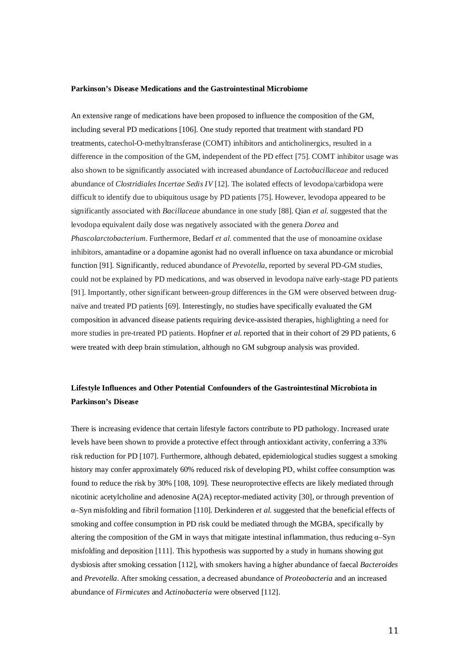#### **Parkinson's Disease Medications and the Gastrointestinal Microbiome**

An extensive range of medications have been proposed to influence the composition of the GM, including several PD medications [106]. One study reported that treatment with standard PD treatments, catechol-O-methyltransferase (COMT) inhibitors and anticholinergics, resulted in a difference in the composition of the GM, independent of the PD effect [75]. COMT inhibitor usage was also shown to be significantly associated with increased abundance of *Lactobacillaceae* and reduced abundance of *Clostridiales Incertae Sedis IV* [12]. The isolated effects of levodopa/carbidopa were difficult to identify due to ubiquitous usage by PD patients [75]. However, levodopa appeared to be significantly associated with *Bacillaceae* abundance in one study [88]. Qian *et al*. suggested that the levodopa equivalent daily dose was negatively associated with the genera *Dorea* and *Phascolarctobacterium*. Furthermore, Bedarf *et al*. commented that the use of monoamine oxidase inhibitors, amantadine or a dopamine agonist had no overall influence on taxa abundance or microbial function [91]. Significantly, reduced abundance of *Prevotella*, reported by several PD-GM studies, could not be explained by PD medications, and was observed in levodopa naïve early-stage PD patients [91]. Importantly, other significant between-group differences in the GM were observed between drugnaïve and treated PD patients [69]. Interestingly, no studies have specifically evaluated the GM composition in advanced disease patients requiring device-assisted therapies, highlighting a need for more studies in pre-treated PD patients. Hopfner *et al*. reported that in their cohort of 29 PD patients, 6 were treated with deep brain stimulation, although no GM subgroup analysis was provided.

# **Lifestyle Influences and Other Potential Confounders of the Gastrointestinal Microbiota in Parkinson's Disease**

There is increasing evidence that certain lifestyle factors contribute to PD pathology. Increased urate levels have been shown to provide a protective effect through antioxidant activity, conferring a 33% risk reduction for PD [107]. Furthermore, although debated, epidemiological studies suggest a smoking history may confer approximately 60% reduced risk of developing PD, whilst coffee consumption was found to reduce the risk by 30% [108, 109]. These neuroprotective effects are likely mediated through nicotinic acetylcholine and adenosine A(2A) receptor-mediated activity [30], or through prevention of α–Syn misfolding and fibril formation [110]. Derkinderen *et al.* suggested that the beneficial effects of smoking and coffee consumption in PD risk could be mediated through the MGBA, specifically by altering the composition of the GM in ways that mitigate intestinal inflammation, thus reducing  $\alpha$ –Syn misfolding and deposition [111]. This hypothesis was supported by a study in humans showing gut dysbiosis after smoking cessation [112], with smokers having a higher abundance of faecal *Bacteroides* and *Prevotella*. After smoking cessation, a decreased abundance of *Proteobacteria* and an increased abundance of *Firmicutes* and *Actinobacteria* were observed [112].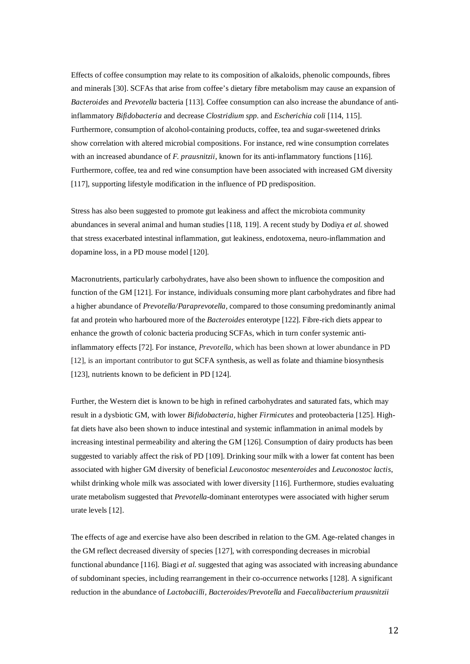Effects of coffee consumption may relate to its composition of alkaloids, phenolic compounds, fibres and minerals [30]. SCFAs that arise from coffee's dietary fibre metabolism may cause an expansion of *Bacteroides* and *Prevotella* bacteria [113]. Coffee consumption can also increase the abundance of antiinflammatory *Bifidobacteria* and decrease *Clostridium spp.* and *Escherichia coli* [114, 115]*.* Furthermore, consumption of alcohol-containing products, coffee, tea and sugar-sweetened drinks show correlation with altered microbial compositions. For instance, red wine consumption correlates with an increased abundance of *F. prausnitzii*, known for its anti-inflammatory functions [116]. Furthermore, coffee, tea and red wine consumption have been associated with increased GM diversity [117], supporting lifestyle modification in the influence of PD predisposition.

Stress has also been suggested to promote gut leakiness and affect the microbiota community abundances in several animal and human studies [118, 119]. A recent study by Dodiya *et al*. showed that stress exacerbated intestinal inflammation, gut leakiness, endotoxema, neuro-inflammation and dopamine loss, in a PD mouse model [120].

Macronutrients, particularly carbohydrates, have also been shown to influence the composition and function of the GM [121]. For instance, individuals consuming more plant carbohydrates and fibre had a higher abundance of *Prevotella/Paraprevotella,* compared to those consuming predominantly animal fat and protein who harboured more of the *Bacteroides* enterotype [122]. Fibre-rich diets appear to enhance the growth of colonic bacteria producing SCFAs, which in turn confer systemic antiinflammatory effects [72]. For instance, *Prevotella*, which has been shown at lower abundance in PD [12], is an important contributor to gut SCFA synthesis, as well as folate and thiamine biosynthesis [123], nutrients known to be deficient in PD [124].

Further, the Western diet is known to be high in refined carbohydrates and saturated fats, which may result in a dysbiotic GM, with lower *Bifidobacteria*, higher *Firmicutes* and proteobacteria [125]. Highfat diets have also been shown to induce intestinal and systemic inflammation in animal models by increasing intestinal permeability and altering the GM [126]. Consumption of dairy products has been suggested to variably affect the risk of PD [109]. Drinking sour milk with a lower fat content has been associated with higher GM diversity of beneficial *Leuconostoc mesenteroides* and *Leuconostoc lactis*, whilst drinking whole milk was associated with lower diversity [116]. Furthermore, studies evaluating urate metabolism suggested that *Prevotella-*dominant enterotypes were associated with higher serum urate levels [12].

The effects of age and exercise have also been described in relation to the GM. Age-related changes in the GM reflect decreased diversity of species [127], with corresponding decreases in microbial functional abundance [116]. Biagi *et al*. suggested that aging was associated with increasing abundance of subdominant species, including rearrangement in their co-occurrence networks [128]. A significant reduction in the abundance of *Lactobacilli, Bacteroides/Prevotella* and *Faecalibacterium prausnitzii*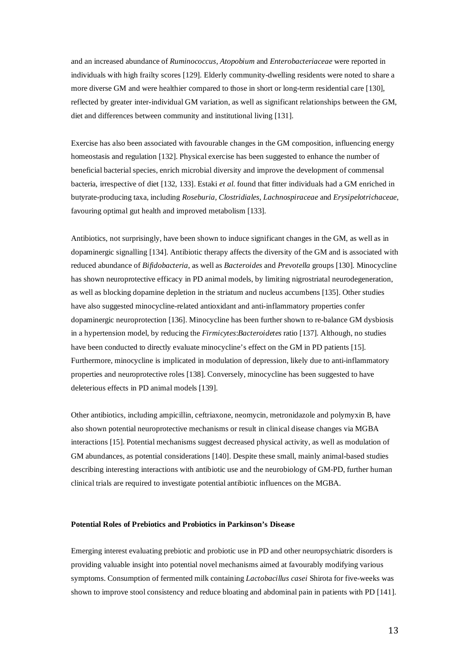and an increased abundance of *Ruminococcus*, *Atopobium* and *Enterobacteriaceae* were reported in individuals with high frailty scores [129]. Elderly community-dwelling residents were noted to share a more diverse GM and were healthier compared to those in short or long-term residential care [130], reflected by greater inter-individual GM variation, as well as significant relationships between the GM, diet and differences between community and institutional living [131].

Exercise has also been associated with favourable changes in the GM composition, influencing energy homeostasis and regulation [132]. Physical exercise has been suggested to enhance the number of beneficial bacterial species, enrich microbial diversity and improve the development of commensal bacteria, irrespective of diet [132, 133]. Estaki *et al*. found that fitter individuals had a GM enriched in butyrate-producing taxa, including *Roseburia, Clostridiales*, *Lachnospiraceae* and *Erysipelotrichaceae*, favouring optimal gut health and improved metabolism [133].

Antibiotics, not surprisingly, have been shown to induce significant changes in the GM, as well as in dopaminergic signalling [134]. Antibiotic therapy affects the diversity of the GM and is associated with reduced abundance of *Bifidobacteria*, as well as *Bacteroides* and *Prevotella* groups [130]. Minocycline has shown neuroprotective efficacy in PD animal models, by limiting nigrostriatal neurodegeneration, as well as blocking dopamine depletion in the striatum and nucleus accumbens [135]. Other studies have also suggested minocycline-related antioxidant and anti-inflammatory properties confer dopaminergic neuroprotection [136]. Minocycline has been further shown to re-balance GM dysbiosis in a hypertension model, by reducing the *Firmicytes*:*Bacteroidetes* ratio [137]. Although, no studies have been conducted to directly evaluate minocycline's effect on the GM in PD patients [15]. Furthermore, minocycline is implicated in modulation of depression, likely due to anti-inflammatory properties and neuroprotective roles [138]. Conversely, minocycline has been suggested to have deleterious effects in PD animal models [139].

Other antibiotics, including ampicillin, ceftriaxone, neomycin, metronidazole and polymyxin B, have also shown potential neuroprotective mechanisms or result in clinical disease changes via MGBA interactions [15]. Potential mechanisms suggest decreased physical activity, as well as modulation of GM abundances, as potential considerations [140]. Despite these small, mainly animal-based studies describing interesting interactions with antibiotic use and the neurobiology of GM-PD, further human clinical trials are required to investigate potential antibiotic influences on the MGBA.

#### **Potential Roles of Prebiotics and Probiotics in Parkinson's Disease**

Emerging interest evaluating prebiotic and probiotic use in PD and other neuropsychiatric disorders is providing valuable insight into potential novel mechanisms aimed at favourably modifying various symptoms. Consumption of fermented milk containing *Lactobacillus casei* Shirota for five-weeks was shown to improve stool consistency and reduce bloating and abdominal pain in patients with PD [141].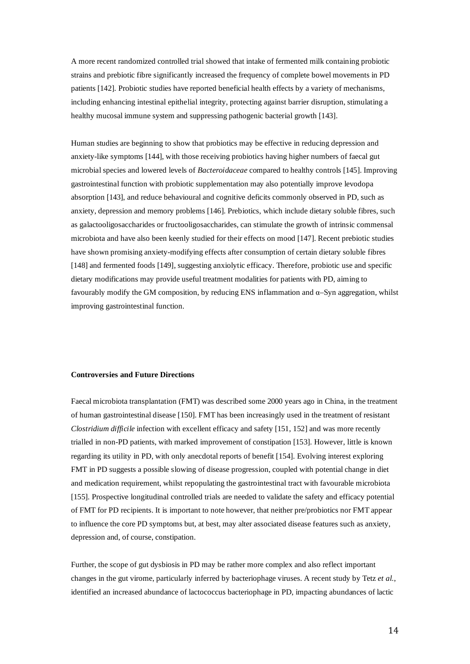A more recent randomized controlled trial showed that intake of fermented milk containing probiotic strains and prebiotic fibre significantly increased the frequency of complete bowel movements in PD patients [142]. Probiotic studies have reported beneficial health effects by a variety of mechanisms, including enhancing intestinal epithelial integrity, protecting against barrier disruption, stimulating a healthy mucosal immune system and suppressing pathogenic bacterial growth [143].

Human studies are beginning to show that probiotics may be effective in reducing depression and anxiety-like symptoms [144], with those receiving probiotics having higher numbers of faecal gut microbial species and lowered levels of *Bacteroidaceae* compared to healthy controls [145]. Improving gastrointestinal function with probiotic supplementation may also potentially improve levodopa absorption [143], and reduce behavioural and cognitive deficits commonly observed in PD, such as anxiety, depression and memory problems [146]. Prebiotics, which include dietary soluble fibres, such as galactooligosaccharides or fructooligosaccharides, can stimulate the growth of intrinsic commensal microbiota and have also been keenly studied for their effects on mood [147]. Recent prebiotic studies have shown promising anxiety-modifying effects after consumption of certain dietary soluble fibres [148] and fermented foods [149], suggesting anxiolytic efficacy. Therefore, probiotic use and specific dietary modifications may provide useful treatment modalities for patients with PD, aiming to favourably modify the GM composition, by reducing ENS inflammation and α–Syn aggregation, whilst improving gastrointestinal function.

### **Controversies and Future Directions**

Faecal microbiota transplantation (FMT) was described some 2000 years ago in China, in the treatment of human gastrointestinal disease [150]. FMT has been increasingly used in the treatment of resistant *Clostridium difficile* infection with excellent efficacy and safety [151, 152] and was more recently trialled in non-PD patients, with marked improvement of constipation [153]. However, little is known regarding its utility in PD, with only anecdotal reports of benefit [154]. Evolving interest exploring FMT in PD suggests a possible slowing of disease progression, coupled with potential change in diet and medication requirement, whilst repopulating the gastrointestinal tract with favourable microbiota [155]. Prospective longitudinal controlled trials are needed to validate the safety and efficacy potential of FMT for PD recipients. It is important to note however, that neither pre/probiotics nor FMT appear to influence the core PD symptoms but, at best, may alter associated disease features such as anxiety, depression and, of course, constipation.

Further, the scope of gut dysbiosis in PD may be rather more complex and also reflect important changes in the gut virome, particularly inferred by bacteriophage viruses. A recent study by Tetz *et al*., identified an increased abundance of lactococcus bacteriophage in PD, impacting abundances of lactic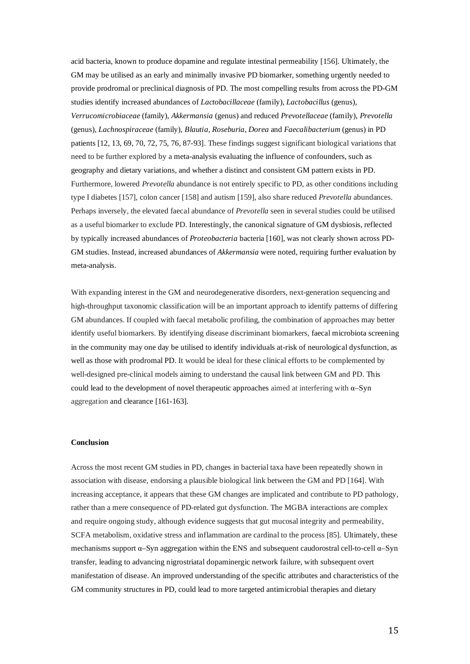acid bacteria, known to produce dopamine and regulate intestinal permeability [156]. Ultimately, the GM may be utilised as an early and minimally invasive PD biomarker, something urgently needed to provide prodromal or preclinical diagnosis of PD. The most compelling results from across the PD-GM studies identify increased abundances of *Lactobacillaceae* (family), *Lactobacillus* (genus)*, Verrucomicrobiaceae* (family), *Akkermansia* (genus) and reduced *Prevotellaceae* (family), *Prevotella*  (genus), *Lachnospiraceae* (family), *Blautia*, *Roseburia*, *Dorea* and *Faecalibacterium* (genus) in PD patients [12, 13, 69, 70, 72, 75, 76, 87-93]. These findings suggest significant biological variations that need to be further explored by a meta-analysis evaluating the influence of confounders, such as geography and dietary variations, and whether a distinct and consistent GM pattern exists in PD. Furthermore, lowered *Prevotella* abundance is not entirely specific to PD, as other conditions including type I diabetes [157], colon cancer [158] and autism [159], also share reduced *Prevotella* abundances. Perhaps inversely, the elevated faecal abundance of *Prevotella* seen in several studies could be utilised as a useful biomarker to exclude PD. Interestingly, the canonical signature of GM dysbiosis, reflected by typically increased abundances of *Proteobacteria* bacteria [160], was not clearly shown across PD-GM studies. Instead, increased abundances of *Akkermansia* were noted, requiring further evaluation by meta-analysis.

With expanding interest in the GM and neurodegenerative disorders, next-generation sequencing and high-throughput taxonomic classification will be an important approach to identify patterns of differing GM abundances. If coupled with faecal metabolic profiling, the combination of approaches may better identify useful biomarkers. By identifying disease discriminant biomarkers, faecal microbiota screening in the community may one day be utilised to identify individuals at-risk of neurological dysfunction, as well as those with prodromal PD. It would be ideal for these clinical efforts to be complemented by well-designed pre-clinical models aiming to understand the causal link between GM and PD. This could lead to the development of novel therapeutic approaches aimed at interfering with  $\alpha$ –Syn aggregation and clearance [161-163].

#### **Conclusion**

Across the most recent GM studies in PD, changes in bacterial taxa have been repeatedly shown in association with disease, endorsing a plausible biological link between the GM and PD [164]. With increasing acceptance, it appears that these GM changes are implicated and contribute to PD pathology, rather than a mere consequence of PD-related gut dysfunction. The MGBA interactions are complex and require ongoing study, although evidence suggests that gut mucosal integrity and permeability, SCFA metabolism, oxidative stress and inflammation are cardinal to the process [85]. Ultimately, these mechanisms support  $\alpha$ –Syn aggregation within the ENS and subsequent caudorostral cell-to-cell  $\alpha$ –Syn transfer, leading to advancing nigrostriatal dopaminergic network failure, with subsequent overt manifestation of disease. An improved understanding of the specific attributes and characteristics of the GM community structures in PD, could lead to more targeted antimicrobial therapies and dietary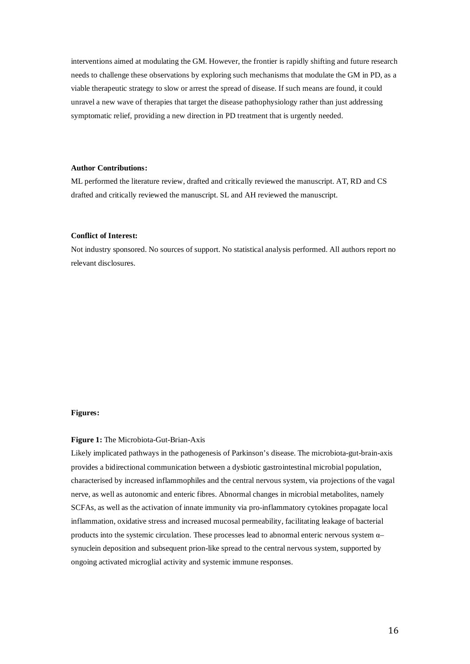interventions aimed at modulating the GM. However, the frontier is rapidly shifting and future research needs to challenge these observations by exploring such mechanisms that modulate the GM in PD, as a viable therapeutic strategy to slow or arrest the spread of disease. If such means are found, it could unravel a new wave of therapies that target the disease pathophysiology rather than just addressing symptomatic relief, providing a new direction in PD treatment that is urgently needed.

# **Author Contributions:**

ML performed the literature review, drafted and critically reviewed the manuscript. AT, RD and CS drafted and critically reviewed the manuscript. SL and AH reviewed the manuscript.

# **Conflict of Interest:**

Not industry sponsored. No sources of support. No statistical analysis performed. All authors report no relevant disclosures.

#### **Figures:**

#### **Figure 1:** The Microbiota-Gut-Brian-Axis

Likely implicated pathways in the pathogenesis of Parkinson's disease. The microbiota-gut-brain-axis provides a bidirectional communication between a dysbiotic gastrointestinal microbial population, characterised by increased inflammophiles and the central nervous system, via projections of the vagal nerve, as well as autonomic and enteric fibres. Abnormal changes in microbial metabolites, namely SCFAs, as well as the activation of innate immunity via pro-inflammatory cytokines propagate local inflammation, oxidative stress and increased mucosal permeability, facilitating leakage of bacterial products into the systemic circulation. These processes lead to abnormal enteric nervous system α– synuclein deposition and subsequent prion-like spread to the central nervous system, supported by ongoing activated microglial activity and systemic immune responses.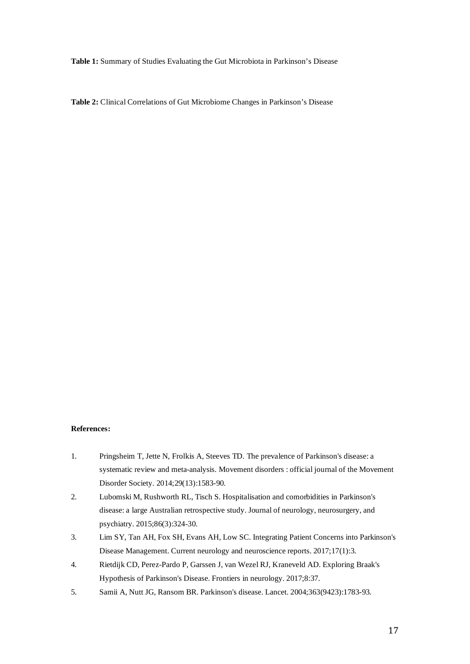**Table 1:** Summary of Studies Evaluating the Gut Microbiota in Parkinson's Disease

**Table 2:** Clinical Correlations of Gut Microbiome Changes in Parkinson's Disease

# **References:**

- 1. Pringsheim T, Jette N, Frolkis A, Steeves TD. The prevalence of Parkinson's disease: a systematic review and meta-analysis. Movement disorders : official journal of the Movement Disorder Society. 2014;29(13):1583-90.
- 2. Lubomski M, Rushworth RL, Tisch S. Hospitalisation and comorbidities in Parkinson's disease: a large Australian retrospective study. Journal of neurology, neurosurgery, and psychiatry. 2015;86(3):324-30.
- 3. Lim SY, Tan AH, Fox SH, Evans AH, Low SC. Integrating Patient Concerns into Parkinson's Disease Management. Current neurology and neuroscience reports. 2017;17(1):3.
- 4. Rietdijk CD, Perez-Pardo P, Garssen J, van Wezel RJ, Kraneveld AD. Exploring Braak's Hypothesis of Parkinson's Disease. Frontiers in neurology. 2017;8:37.
- 5. Samii A, Nutt JG, Ransom BR. Parkinson's disease. Lancet. 2004;363(9423):1783-93.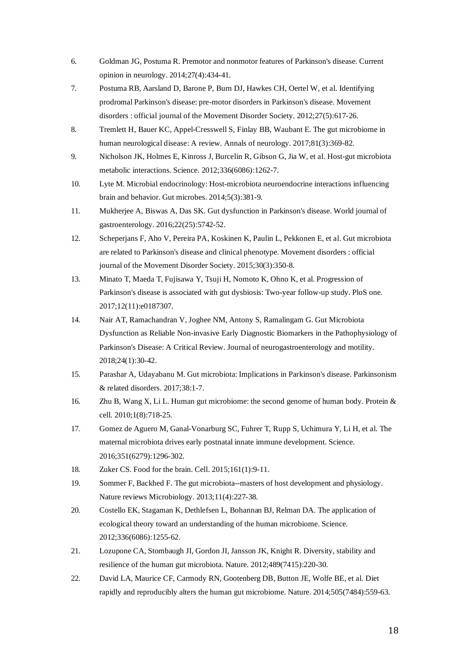- 6. Goldman JG, Postuma R. Premotor and nonmotor features of Parkinson's disease. Current opinion in neurology. 2014;27(4):434-41.
- 7. Postuma RB, Aarsland D, Barone P, Burn DJ, Hawkes CH, Oertel W, et al. Identifying prodromal Parkinson's disease: pre-motor disorders in Parkinson's disease. Movement disorders : official journal of the Movement Disorder Society. 2012;27(5):617-26.
- 8. Tremlett H, Bauer KC, Appel-Cresswell S, Finlay BB, Waubant E. The gut microbiome in human neurological disease: A review. Annals of neurology. 2017;81(3):369-82.
- 9. Nicholson JK, Holmes E, Kinross J, Burcelin R, Gibson G, Jia W, et al. Host-gut microbiota metabolic interactions. Science. 2012;336(6086):1262-7.
- 10. Lyte M. Microbial endocrinology: Host-microbiota neuroendocrine interactions influencing brain and behavior. Gut microbes. 2014;5(3):381-9.
- 11. Mukherjee A, Biswas A, Das SK. Gut dysfunction in Parkinson's disease. World journal of gastroenterology. 2016;22(25):5742-52.
- 12. Scheperjans F, Aho V, Pereira PA, Koskinen K, Paulin L, Pekkonen E, et al. Gut microbiota are related to Parkinson's disease and clinical phenotype. Movement disorders : official journal of the Movement Disorder Society. 2015;30(3):350-8.
- 13. Minato T, Maeda T, Fujisawa Y, Tsuji H, Nomoto K, Ohno K, et al. Progression of Parkinson's disease is associated with gut dysbiosis: Two-year follow-up study. PloS one. 2017;12(11):e0187307.
- 14. Nair AT, Ramachandran V, Joghee NM, Antony S, Ramalingam G. Gut Microbiota Dysfunction as Reliable Non-invasive Early Diagnostic Biomarkers in the Pathophysiology of Parkinson's Disease: A Critical Review. Journal of neurogastroenterology and motility. 2018;24(1):30-42.
- 15. Parashar A, Udayabanu M. Gut microbiota: Implications in Parkinson's disease. Parkinsonism & related disorders. 2017;38:1-7.
- 16. Zhu B, Wang X, Li L. Human gut microbiome: the second genome of human body. Protein & cell. 2010;1(8):718-25.
- 17. Gomez de Aguero M, Ganal-Vonarburg SC, Fuhrer T, Rupp S, Uchimura Y, Li H, et al. The maternal microbiota drives early postnatal innate immune development. Science. 2016;351(6279):1296-302.
- 18. Zuker CS. Food for the brain. Cell. 2015;161(1):9-11.
- 19. Sommer F, Backhed F. The gut microbiota--masters of host development and physiology. Nature reviews Microbiology. 2013;11(4):227-38.
- 20. Costello EK, Stagaman K, Dethlefsen L, Bohannan BJ, Relman DA. The application of ecological theory toward an understanding of the human microbiome. Science. 2012;336(6086):1255-62.
- 21. Lozupone CA, Stombaugh JI, Gordon JI, Jansson JK, Knight R. Diversity, stability and resilience of the human gut microbiota. Nature. 2012;489(7415):220-30.
- 22. David LA, Maurice CF, Carmody RN, Gootenberg DB, Button JE, Wolfe BE, et al. Diet rapidly and reproducibly alters the human gut microbiome. Nature. 2014;505(7484):559-63.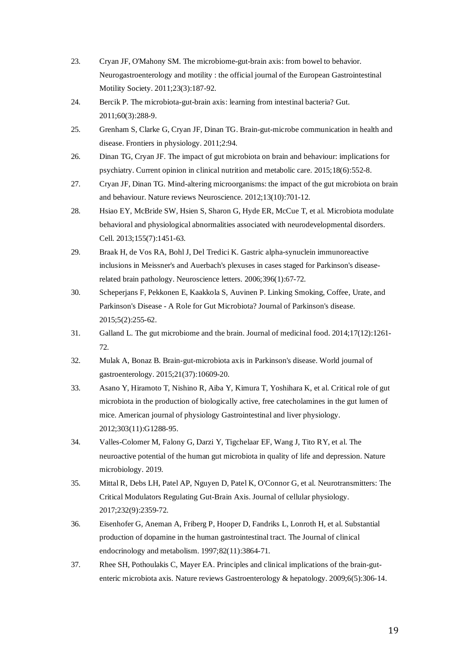- 23. Cryan JF, O'Mahony SM. The microbiome-gut-brain axis: from bowel to behavior. Neurogastroenterology and motility : the official journal of the European Gastrointestinal Motility Society. 2011;23(3):187-92.
- 24. Bercik P. The microbiota-gut-brain axis: learning from intestinal bacteria? Gut. 2011;60(3):288-9.
- 25. Grenham S, Clarke G, Cryan JF, Dinan TG. Brain-gut-microbe communication in health and disease. Frontiers in physiology. 2011;2:94.
- 26. Dinan TG, Cryan JF. The impact of gut microbiota on brain and behaviour: implications for psychiatry. Current opinion in clinical nutrition and metabolic care. 2015;18(6):552-8.
- 27. Cryan JF, Dinan TG. Mind-altering microorganisms: the impact of the gut microbiota on brain and behaviour. Nature reviews Neuroscience. 2012;13(10):701-12.
- 28. Hsiao EY, McBride SW, Hsien S, Sharon G, Hyde ER, McCue T, et al. Microbiota modulate behavioral and physiological abnormalities associated with neurodevelopmental disorders. Cell. 2013;155(7):1451-63.
- 29. Braak H, de Vos RA, Bohl J, Del Tredici K. Gastric alpha-synuclein immunoreactive inclusions in Meissner's and Auerbach's plexuses in cases staged for Parkinson's diseaserelated brain pathology. Neuroscience letters. 2006;396(1):67-72.
- 30. Scheperjans F, Pekkonen E, Kaakkola S, Auvinen P. Linking Smoking, Coffee, Urate, and Parkinson's Disease - A Role for Gut Microbiota? Journal of Parkinson's disease. 2015;5(2):255-62.
- 31. Galland L. The gut microbiome and the brain. Journal of medicinal food. 2014;17(12):1261- 72.
- 32. Mulak A, Bonaz B. Brain-gut-microbiota axis in Parkinson's disease. World journal of gastroenterology. 2015;21(37):10609-20.
- 33. Asano Y, Hiramoto T, Nishino R, Aiba Y, Kimura T, Yoshihara K, et al. Critical role of gut microbiota in the production of biologically active, free catecholamines in the gut lumen of mice. American journal of physiology Gastrointestinal and liver physiology. 2012;303(11):G1288-95.
- 34. Valles-Colomer M, Falony G, Darzi Y, Tigchelaar EF, Wang J, Tito RY, et al. The neuroactive potential of the human gut microbiota in quality of life and depression. Nature microbiology. 2019.
- 35. Mittal R, Debs LH, Patel AP, Nguyen D, Patel K, O'Connor G, et al. Neurotransmitters: The Critical Modulators Regulating Gut-Brain Axis. Journal of cellular physiology. 2017;232(9):2359-72.
- 36. Eisenhofer G, Aneman A, Friberg P, Hooper D, Fandriks L, Lonroth H, et al. Substantial production of dopamine in the human gastrointestinal tract. The Journal of clinical endocrinology and metabolism. 1997;82(11):3864-71.
- 37. Rhee SH, Pothoulakis C, Mayer EA. Principles and clinical implications of the brain-gutenteric microbiota axis. Nature reviews Gastroenterology & hepatology. 2009;6(5):306-14.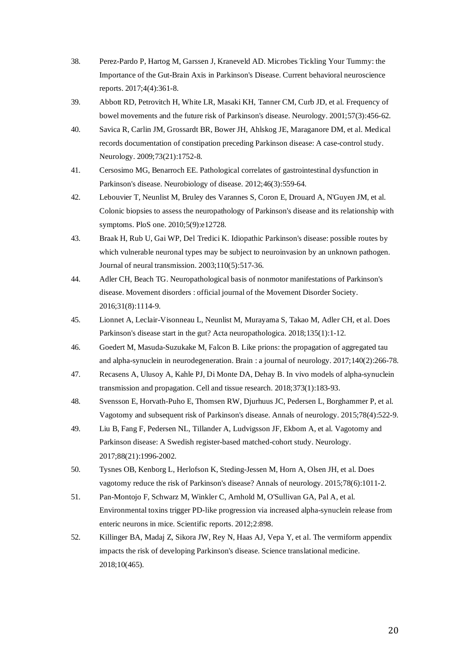- 38. Perez-Pardo P, Hartog M, Garssen J, Kraneveld AD. Microbes Tickling Your Tummy: the Importance of the Gut-Brain Axis in Parkinson's Disease. Current behavioral neuroscience reports. 2017;4(4):361-8.
- 39. Abbott RD, Petrovitch H, White LR, Masaki KH, Tanner CM, Curb JD, et al. Frequency of bowel movements and the future risk of Parkinson's disease. Neurology. 2001;57(3):456-62.
- 40. Savica R, Carlin JM, Grossardt BR, Bower JH, Ahlskog JE, Maraganore DM, et al. Medical records documentation of constipation preceding Parkinson disease: A case-control study. Neurology. 2009;73(21):1752-8.
- 41. Cersosimo MG, Benarroch EE. Pathological correlates of gastrointestinal dysfunction in Parkinson's disease. Neurobiology of disease. 2012;46(3):559-64.
- 42. Lebouvier T, Neunlist M, Bruley des Varannes S, Coron E, Drouard A, N'Guyen JM, et al. Colonic biopsies to assess the neuropathology of Parkinson's disease and its relationship with symptoms. PloS one. 2010;5(9):e12728.
- 43. Braak H, Rub U, Gai WP, Del Tredici K. Idiopathic Parkinson's disease: possible routes by which vulnerable neuronal types may be subject to neuroinvasion by an unknown pathogen. Journal of neural transmission. 2003;110(5):517-36.
- 44. Adler CH, Beach TG. Neuropathological basis of nonmotor manifestations of Parkinson's disease. Movement disorders : official journal of the Movement Disorder Society. 2016;31(8):1114-9.
- 45. Lionnet A, Leclair-Visonneau L, Neunlist M, Murayama S, Takao M, Adler CH, et al. Does Parkinson's disease start in the gut? Acta neuropathologica. 2018;135(1):1-12.
- 46. Goedert M, Masuda-Suzukake M, Falcon B. Like prions: the propagation of aggregated tau and alpha-synuclein in neurodegeneration. Brain : a journal of neurology. 2017;140(2):266-78.
- 47. Recasens A, Ulusoy A, Kahle PJ, Di Monte DA, Dehay B. In vivo models of alpha-synuclein transmission and propagation. Cell and tissue research. 2018;373(1):183-93.
- 48. Svensson E, Horvath-Puho E, Thomsen RW, Djurhuus JC, Pedersen L, Borghammer P, et al. Vagotomy and subsequent risk of Parkinson's disease. Annals of neurology. 2015;78(4):522-9.
- 49. Liu B, Fang F, Pedersen NL, Tillander A, Ludvigsson JF, Ekbom A, et al. Vagotomy and Parkinson disease: A Swedish register-based matched-cohort study. Neurology. 2017;88(21):1996-2002.
- 50. Tysnes OB, Kenborg L, Herlofson K, Steding-Jessen M, Horn A, Olsen JH, et al. Does vagotomy reduce the risk of Parkinson's disease? Annals of neurology. 2015;78(6):1011-2.
- 51. Pan-Montojo F, Schwarz M, Winkler C, Arnhold M, O'Sullivan GA, Pal A, et al. Environmental toxins trigger PD-like progression via increased alpha-synuclein release from enteric neurons in mice. Scientific reports. 2012;2:898.
- 52. Killinger BA, Madaj Z, Sikora JW, Rey N, Haas AJ, Vepa Y, et al. The vermiform appendix impacts the risk of developing Parkinson's disease. Science translational medicine. 2018;10(465).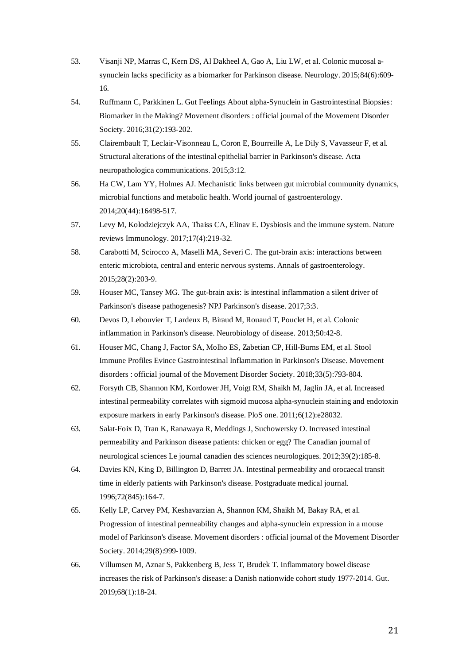- 53. Visanji NP, Marras C, Kern DS, Al Dakheel A, Gao A, Liu LW, et al. Colonic mucosal asynuclein lacks specificity as a biomarker for Parkinson disease. Neurology. 2015;84(6):609- 16.
- 54. Ruffmann C, Parkkinen L. Gut Feelings About alpha-Synuclein in Gastrointestinal Biopsies: Biomarker in the Making? Movement disorders : official journal of the Movement Disorder Society. 2016;31(2):193-202.
- 55. Clairembault T, Leclair-Visonneau L, Coron E, Bourreille A, Le Dily S, Vavasseur F, et al. Structural alterations of the intestinal epithelial barrier in Parkinson's disease. Acta neuropathologica communications. 2015;3:12.
- 56. Ha CW, Lam YY, Holmes AJ. Mechanistic links between gut microbial community dynamics, microbial functions and metabolic health. World journal of gastroenterology. 2014;20(44):16498-517.
- 57. Levy M, Kolodziejczyk AA, Thaiss CA, Elinav E. Dysbiosis and the immune system. Nature reviews Immunology. 2017;17(4):219-32.
- 58. Carabotti M, Scirocco A, Maselli MA, Severi C. The gut-brain axis: interactions between enteric microbiota, central and enteric nervous systems. Annals of gastroenterology. 2015;28(2):203-9.
- 59. Houser MC, Tansey MG. The gut-brain axis: is intestinal inflammation a silent driver of Parkinson's disease pathogenesis? NPJ Parkinson's disease. 2017;3:3.
- 60. Devos D, Lebouvier T, Lardeux B, Biraud M, Rouaud T, Pouclet H, et al. Colonic inflammation in Parkinson's disease. Neurobiology of disease. 2013;50:42-8.
- 61. Houser MC, Chang J, Factor SA, Molho ES, Zabetian CP, Hill-Burns EM, et al. Stool Immune Profiles Evince Gastrointestinal Inflammation in Parkinson's Disease. Movement disorders : official journal of the Movement Disorder Society. 2018;33(5):793-804.
- 62. Forsyth CB, Shannon KM, Kordower JH, Voigt RM, Shaikh M, Jaglin JA, et al. Increased intestinal permeability correlates with sigmoid mucosa alpha-synuclein staining and endotoxin exposure markers in early Parkinson's disease. PloS one. 2011;6(12):e28032.
- 63. Salat-Foix D, Tran K, Ranawaya R, Meddings J, Suchowersky O. Increased intestinal permeability and Parkinson disease patients: chicken or egg? The Canadian journal of neurological sciences Le journal canadien des sciences neurologiques. 2012;39(2):185-8.
- 64. Davies KN, King D, Billington D, Barrett JA. Intestinal permeability and orocaecal transit time in elderly patients with Parkinson's disease. Postgraduate medical journal. 1996;72(845):164-7.
- 65. Kelly LP, Carvey PM, Keshavarzian A, Shannon KM, Shaikh M, Bakay RA, et al. Progression of intestinal permeability changes and alpha-synuclein expression in a mouse model of Parkinson's disease. Movement disorders : official journal of the Movement Disorder Society. 2014:29(8):999-1009.
- 66. Villumsen M, Aznar S, Pakkenberg B, Jess T, Brudek T. Inflammatory bowel disease increases the risk of Parkinson's disease: a Danish nationwide cohort study 1977-2014. Gut. 2019;68(1):18-24.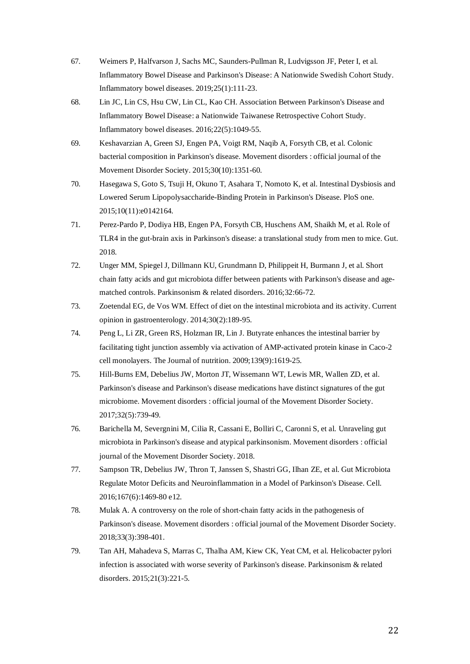- 67. Weimers P, Halfvarson J, Sachs MC, Saunders-Pullman R, Ludvigsson JF, Peter I, et al. Inflammatory Bowel Disease and Parkinson's Disease: A Nationwide Swedish Cohort Study. Inflammatory bowel diseases. 2019;25(1):111-23.
- 68. Lin JC, Lin CS, Hsu CW, Lin CL, Kao CH. Association Between Parkinson's Disease and Inflammatory Bowel Disease: a Nationwide Taiwanese Retrospective Cohort Study. Inflammatory bowel diseases. 2016;22(5):1049-55.
- 69. Keshavarzian A, Green SJ, Engen PA, Voigt RM, Naqib A, Forsyth CB, et al. Colonic bacterial composition in Parkinson's disease. Movement disorders : official journal of the Movement Disorder Society. 2015;30(10):1351-60.
- 70. Hasegawa S, Goto S, Tsuji H, Okuno T, Asahara T, Nomoto K, et al. Intestinal Dysbiosis and Lowered Serum Lipopolysaccharide-Binding Protein in Parkinson's Disease. PloS one. 2015;10(11):e0142164.
- 71. Perez-Pardo P, Dodiya HB, Engen PA, Forsyth CB, Huschens AM, Shaikh M, et al. Role of TLR4 in the gut-brain axis in Parkinson's disease: a translational study from men to mice. Gut. 2018.
- 72. Unger MM, Spiegel J, Dillmann KU, Grundmann D, Philippeit H, Burmann J, et al. Short chain fatty acids and gut microbiota differ between patients with Parkinson's disease and agematched controls. Parkinsonism & related disorders. 2016;32:66-72.
- 73. Zoetendal EG, de Vos WM. Effect of diet on the intestinal microbiota and its activity. Current opinion in gastroenterology. 2014;30(2):189-95.
- 74. Peng L, Li ZR, Green RS, Holzman IR, Lin J. Butyrate enhances the intestinal barrier by facilitating tight junction assembly via activation of AMP-activated protein kinase in Caco-2 cell monolayers. The Journal of nutrition. 2009;139(9):1619-25.
- 75. Hill-Burns EM, Debelius JW, Morton JT, Wissemann WT, Lewis MR, Wallen ZD, et al. Parkinson's disease and Parkinson's disease medications have distinct signatures of the gut microbiome. Movement disorders : official journal of the Movement Disorder Society. 2017;32(5):739-49.
- 76. Barichella M, Severgnini M, Cilia R, Cassani E, Bolliri C, Caronni S, et al. Unraveling gut microbiota in Parkinson's disease and atypical parkinsonism. Movement disorders : official journal of the Movement Disorder Society. 2018.
- 77. Sampson TR, Debelius JW, Thron T, Janssen S, Shastri GG, Ilhan ZE, et al. Gut Microbiota Regulate Motor Deficits and Neuroinflammation in a Model of Parkinson's Disease. Cell. 2016;167(6):1469-80 e12.
- 78. Mulak A. A controversy on the role of short-chain fatty acids in the pathogenesis of Parkinson's disease. Movement disorders : official journal of the Movement Disorder Society. 2018;33(3):398-401.
- 79. Tan AH, Mahadeva S, Marras C, Thalha AM, Kiew CK, Yeat CM, et al. Helicobacter pylori infection is associated with worse severity of Parkinson's disease. Parkinsonism & related disorders. 2015;21(3):221-5.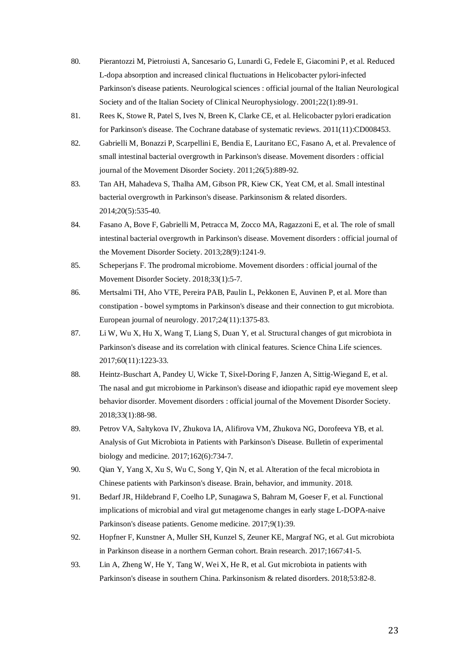- 80. Pierantozzi M, Pietroiusti A, Sancesario G, Lunardi G, Fedele E, Giacomini P, et al. Reduced L-dopa absorption and increased clinical fluctuations in Helicobacter pylori-infected Parkinson's disease patients. Neurological sciences : official journal of the Italian Neurological Society and of the Italian Society of Clinical Neurophysiology. 2001;22(1):89-91.
- 81. Rees K, Stowe R, Patel S, Ives N, Breen K, Clarke CE, et al. Helicobacter pylori eradication for Parkinson's disease. The Cochrane database of systematic reviews. 2011(11):CD008453.
- 82. Gabrielli M, Bonazzi P, Scarpellini E, Bendia E, Lauritano EC, Fasano A, et al. Prevalence of small intestinal bacterial overgrowth in Parkinson's disease. Movement disorders : official journal of the Movement Disorder Society. 2011;26(5):889-92.
- 83. Tan AH, Mahadeva S, Thalha AM, Gibson PR, Kiew CK, Yeat CM, et al. Small intestinal bacterial overgrowth in Parkinson's disease. Parkinsonism & related disorders. 2014;20(5):535-40.
- 84. Fasano A, Bove F, Gabrielli M, Petracca M, Zocco MA, Ragazzoni E, et al. The role of small intestinal bacterial overgrowth in Parkinson's disease. Movement disorders : official journal of the Movement Disorder Society. 2013;28(9):1241-9.
- 85. Scheperjans F. The prodromal microbiome. Movement disorders : official journal of the Movement Disorder Society. 2018;33(1):5-7.
- 86. Mertsalmi TH, Aho VTE, Pereira PAB, Paulin L, Pekkonen E, Auvinen P, et al. More than constipation - bowel symptoms in Parkinson's disease and their connection to gut microbiota. European journal of neurology. 2017;24(11):1375-83.
- 87. Li W, Wu X, Hu X, Wang T, Liang S, Duan Y, et al. Structural changes of gut microbiota in Parkinson's disease and its correlation with clinical features. Science China Life sciences. 2017;60(11):1223-33.
- 88. Heintz-Buschart A, Pandey U, Wicke T, Sixel-Doring F, Janzen A, Sittig-Wiegand E, et al. The nasal and gut microbiome in Parkinson's disease and idiopathic rapid eye movement sleep behavior disorder. Movement disorders : official journal of the Movement Disorder Society. 2018;33(1):88-98.
- 89. Petrov VA, Saltykova IV, Zhukova IA, Alifirova VM, Zhukova NG, Dorofeeva YB, et al. Analysis of Gut Microbiota in Patients with Parkinson's Disease. Bulletin of experimental biology and medicine. 2017;162(6):734-7.
- 90. Qian Y, Yang X, Xu S, Wu C, Song Y, Qin N, et al. Alteration of the fecal microbiota in Chinese patients with Parkinson's disease. Brain, behavior, and immunity. 2018.
- 91. Bedarf JR, Hildebrand F, Coelho LP, Sunagawa S, Bahram M, Goeser F, et al. Functional implications of microbial and viral gut metagenome changes in early stage L-DOPA-naive Parkinson's disease patients. Genome medicine. 2017;9(1):39.
- 92. Hopfner F, Kunstner A, Muller SH, Kunzel S, Zeuner KE, Margraf NG, et al. Gut microbiota in Parkinson disease in a northern German cohort. Brain research. 2017;1667:41-5.
- 93. Lin A, Zheng W, He Y, Tang W, Wei X, He R, et al. Gut microbiota in patients with Parkinson's disease in southern China. Parkinsonism & related disorders. 2018;53:82-8.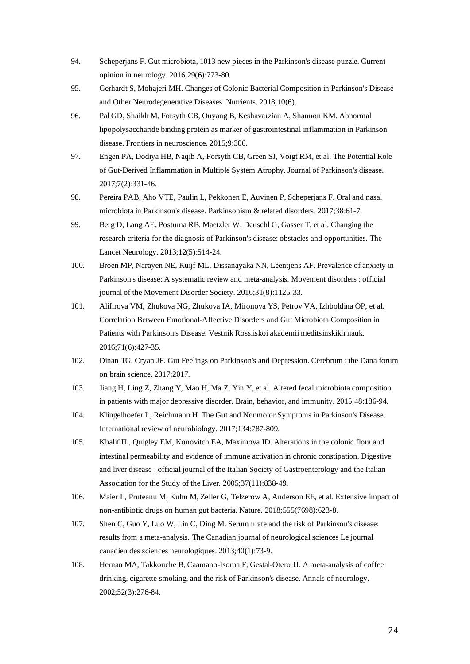- 94. Scheperjans F. Gut microbiota, 1013 new pieces in the Parkinson's disease puzzle. Current opinion in neurology. 2016;29(6):773-80.
- 95. Gerhardt S, Mohajeri MH. Changes of Colonic Bacterial Composition in Parkinson's Disease and Other Neurodegenerative Diseases. Nutrients. 2018;10(6).
- 96. Pal GD, Shaikh M, Forsyth CB, Ouyang B, Keshavarzian A, Shannon KM. Abnormal lipopolysaccharide binding protein as marker of gastrointestinal inflammation in Parkinson disease. Frontiers in neuroscience. 2015;9:306.
- 97. Engen PA, Dodiya HB, Naqib A, Forsyth CB, Green SJ, Voigt RM, et al. The Potential Role of Gut-Derived Inflammation in Multiple System Atrophy. Journal of Parkinson's disease. 2017;7(2):331-46.
- 98. Pereira PAB, Aho VTE, Paulin L, Pekkonen E, Auvinen P, Scheperjans F. Oral and nasal microbiota in Parkinson's disease. Parkinsonism & related disorders. 2017;38:61-7.
- 99. Berg D, Lang AE, Postuma RB, Maetzler W, Deuschl G, Gasser T, et al. Changing the research criteria for the diagnosis of Parkinson's disease: obstacles and opportunities. The Lancet Neurology. 2013;12(5):514-24.
- 100. Broen MP, Narayen NE, Kuijf ML, Dissanayaka NN, Leentjens AF. Prevalence of anxiety in Parkinson's disease: A systematic review and meta-analysis. Movement disorders : official journal of the Movement Disorder Society. 2016;31(8):1125-33.
- 101. Alifirova VM, Zhukova NG, Zhukova IA, Mironova YS, Petrov VA, Izhboldina OP, et al. Correlation Between Emotional-Affective Disorders and Gut Microbiota Composition in Patients with Parkinson's Disease. Vestnik Rossiiskoi akademii meditsinskikh nauk. 2016;71(6):427-35.
- 102. Dinan TG, Cryan JF. Gut Feelings on Parkinson's and Depression. Cerebrum : the Dana forum on brain science. 2017;2017.
- 103. Jiang H, Ling Z, Zhang Y, Mao H, Ma Z, Yin Y, et al. Altered fecal microbiota composition in patients with major depressive disorder. Brain, behavior, and immunity. 2015;48:186-94.
- 104. Klingelhoefer L, Reichmann H. The Gut and Nonmotor Symptoms in Parkinson's Disease. International review of neurobiology. 2017;134:787-809.
- 105. Khalif IL, Quigley EM, Konovitch EA, Maximova ID. Alterations in the colonic flora and intestinal permeability and evidence of immune activation in chronic constipation. Digestive and liver disease : official journal of the Italian Society of Gastroenterology and the Italian Association for the Study of the Liver. 2005;37(11):838-49.
- 106. Maier L, Pruteanu M, Kuhn M, Zeller G, Telzerow A, Anderson EE, et al. Extensive impact of non-antibiotic drugs on human gut bacteria. Nature. 2018;555(7698):623-8.
- 107. Shen C, Guo Y, Luo W, Lin C, Ding M. Serum urate and the risk of Parkinson's disease: results from a meta-analysis. The Canadian journal of neurological sciences Le journal canadien des sciences neurologiques. 2013;40(1):73-9.
- 108. Hernan MA, Takkouche B, Caamano-Isorna F, Gestal-Otero JJ. A meta-analysis of coffee drinking, cigarette smoking, and the risk of Parkinson's disease. Annals of neurology. 2002;52(3):276-84.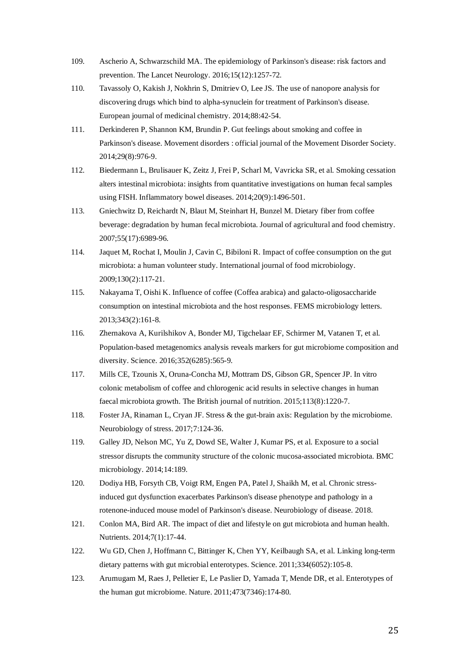- 109. Ascherio A, Schwarzschild MA. The epidemiology of Parkinson's disease: risk factors and prevention. The Lancet Neurology. 2016;15(12):1257-72.
- 110. Tavassoly O, Kakish J, Nokhrin S, Dmitriev O, Lee JS. The use of nanopore analysis for discovering drugs which bind to alpha-synuclein for treatment of Parkinson's disease. European journal of medicinal chemistry. 2014;88:42-54.
- 111. Derkinderen P, Shannon KM, Brundin P. Gut feelings about smoking and coffee in Parkinson's disease. Movement disorders : official journal of the Movement Disorder Society. 2014;29(8):976-9.
- 112. Biedermann L, Brulisauer K, Zeitz J, Frei P, Scharl M, Vavricka SR, et al. Smoking cessation alters intestinal microbiota: insights from quantitative investigations on human fecal samples using FISH. Inflammatory bowel diseases. 2014;20(9):1496-501.
- 113. Gniechwitz D, Reichardt N, Blaut M, Steinhart H, Bunzel M. Dietary fiber from coffee beverage: degradation by human fecal microbiota. Journal of agricultural and food chemistry. 2007;55(17):6989-96.
- 114. Jaquet M, Rochat I, Moulin J, Cavin C, Bibiloni R. Impact of coffee consumption on the gut microbiota: a human volunteer study. International journal of food microbiology. 2009;130(2):117-21.
- 115. Nakayama T, Oishi K. Influence of coffee (Coffea arabica) and galacto-oligosaccharide consumption on intestinal microbiota and the host responses. FEMS microbiology letters. 2013;343(2):161-8.
- 116. Zhernakova A, Kurilshikov A, Bonder MJ, Tigchelaar EF, Schirmer M, Vatanen T, et al. Population-based metagenomics analysis reveals markers for gut microbiome composition and diversity. Science. 2016;352(6285):565-9.
- 117. Mills CE, Tzounis X, Oruna-Concha MJ, Mottram DS, Gibson GR, Spencer JP. In vitro colonic metabolism of coffee and chlorogenic acid results in selective changes in human faecal microbiota growth. The British journal of nutrition. 2015;113(8):1220-7.
- 118. Foster JA, Rinaman L, Cryan JF. Stress & the gut-brain axis: Regulation by the microbiome. Neurobiology of stress. 2017;7:124-36.
- 119. Galley JD, Nelson MC, Yu Z, Dowd SE, Walter J, Kumar PS, et al. Exposure to a social stressor disrupts the community structure of the colonic mucosa-associated microbiota. BMC microbiology. 2014;14:189.
- 120. Dodiya HB, Forsyth CB, Voigt RM, Engen PA, Patel J, Shaikh M, et al. Chronic stressinduced gut dysfunction exacerbates Parkinson's disease phenotype and pathology in a rotenone-induced mouse model of Parkinson's disease. Neurobiology of disease. 2018.
- 121. Conlon MA, Bird AR. The impact of diet and lifestyle on gut microbiota and human health. Nutrients. 2014;7(1):17-44.
- 122. Wu GD, Chen J, Hoffmann C, Bittinger K, Chen YY, Keilbaugh SA, et al. Linking long-term dietary patterns with gut microbial enterotypes. Science. 2011;334(6052):105-8.
- 123. Arumugam M, Raes J, Pelletier E, Le Paslier D, Yamada T, Mende DR, et al. Enterotypes of the human gut microbiome. Nature. 2011;473(7346):174-80.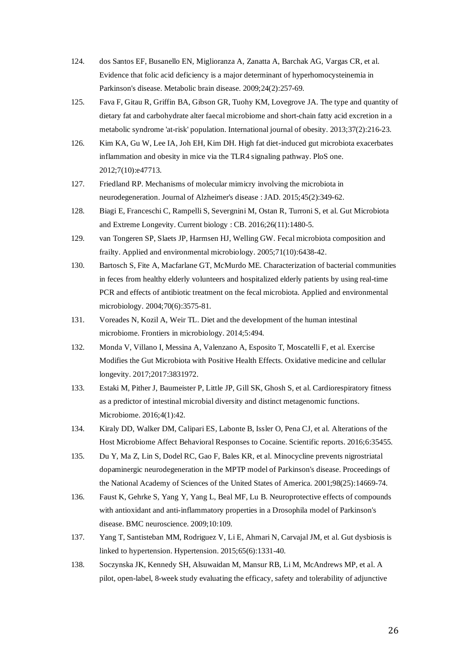- 124. dos Santos EF, Busanello EN, Miglioranza A, Zanatta A, Barchak AG, Vargas CR, et al. Evidence that folic acid deficiency is a major determinant of hyperhomocysteinemia in Parkinson's disease. Metabolic brain disease. 2009;24(2):257-69.
- 125. Fava F, Gitau R, Griffin BA, Gibson GR, Tuohy KM, Lovegrove JA. The type and quantity of dietary fat and carbohydrate alter faecal microbiome and short-chain fatty acid excretion in a metabolic syndrome 'at-risk' population. International journal of obesity. 2013;37(2):216-23.
- 126. Kim KA, Gu W, Lee IA, Joh EH, Kim DH. High fat diet-induced gut microbiota exacerbates inflammation and obesity in mice via the TLR4 signaling pathway. PloS one. 2012;7(10):e47713.
- 127. Friedland RP. Mechanisms of molecular mimicry involving the microbiota in neurodegeneration. Journal of Alzheimer's disease : JAD. 2015;45(2):349-62.
- 128. Biagi E, Franceschi C, Rampelli S, Severgnini M, Ostan R, Turroni S, et al. Gut Microbiota and Extreme Longevity. Current biology : CB. 2016;26(11):1480-5.
- 129. van Tongeren SP, Slaets JP, Harmsen HJ, Welling GW. Fecal microbiota composition and frailty. Applied and environmental microbiology. 2005;71(10):6438-42.
- 130. Bartosch S, Fite A, Macfarlane GT, McMurdo ME. Characterization of bacterial communities in feces from healthy elderly volunteers and hospitalized elderly patients by using real-time PCR and effects of antibiotic treatment on the fecal microbiota. Applied and environmental microbiology. 2004;70(6):3575-81.
- 131. Voreades N, Kozil A, Weir TL. Diet and the development of the human intestinal microbiome. Frontiers in microbiology. 2014;5:494.
- 132. Monda V, Villano I, Messina A, Valenzano A, Esposito T, Moscatelli F, et al. Exercise Modifies the Gut Microbiota with Positive Health Effects. Oxidative medicine and cellular longevity. 2017;2017:3831972.
- 133. Estaki M, Pither J, Baumeister P, Little JP, Gill SK, Ghosh S, et al. Cardiorespiratory fitness as a predictor of intestinal microbial diversity and distinct metagenomic functions. Microbiome. 2016;4(1):42.
- 134. Kiraly DD, Walker DM, Calipari ES, Labonte B, Issler O, Pena CJ, et al. Alterations of the Host Microbiome Affect Behavioral Responses to Cocaine. Scientific reports. 2016;6:35455.
- 135. Du Y, Ma Z, Lin S, Dodel RC, Gao F, Bales KR, et al. Minocycline prevents nigrostriatal dopaminergic neurodegeneration in the MPTP model of Parkinson's disease. Proceedings of the National Academy of Sciences of the United States of America. 2001;98(25):14669-74.
- 136. Faust K, Gehrke S, Yang Y, Yang L, Beal MF, Lu B. Neuroprotective effects of compounds with antioxidant and anti-inflammatory properties in a Drosophila model of Parkinson's disease. BMC neuroscience. 2009;10:109.
- 137. Yang T, Santisteban MM, Rodriguez V, Li E, Ahmari N, Carvajal JM, et al. Gut dysbiosis is linked to hypertension. Hypertension. 2015;65(6):1331-40.
- 138. Soczynska JK, Kennedy SH, Alsuwaidan M, Mansur RB, Li M, McAndrews MP, et al. A pilot, open-label, 8-week study evaluating the efficacy, safety and tolerability of adjunctive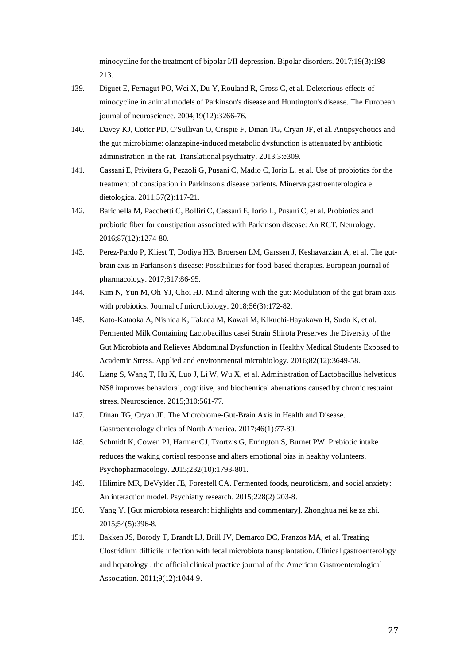minocycline for the treatment of bipolar I/II depression. Bipolar disorders. 2017;19(3):198- 213.

- 139. Diguet E, Fernagut PO, Wei X, Du Y, Rouland R, Gross C, et al. Deleterious effects of minocycline in animal models of Parkinson's disease and Huntington's disease. The European journal of neuroscience. 2004;19(12):3266-76.
- 140. Davey KJ, Cotter PD, O'Sullivan O, Crispie F, Dinan TG, Cryan JF, et al. Antipsychotics and the gut microbiome: olanzapine-induced metabolic dysfunction is attenuated by antibiotic administration in the rat. Translational psychiatry. 2013;3:e309.
- 141. Cassani E, Privitera G, Pezzoli G, Pusani C, Madio C, Iorio L, et al. Use of probiotics for the treatment of constipation in Parkinson's disease patients. Minerva gastroenterologica e dietologica. 2011;57(2):117-21.
- 142. Barichella M, Pacchetti C, Bolliri C, Cassani E, Iorio L, Pusani C, et al. Probiotics and prebiotic fiber for constipation associated with Parkinson disease: An RCT. Neurology. 2016;87(12):1274-80.
- 143. Perez-Pardo P, Kliest T, Dodiya HB, Broersen LM, Garssen J, Keshavarzian A, et al. The gutbrain axis in Parkinson's disease: Possibilities for food-based therapies. European journal of pharmacology. 2017;817:86-95.
- 144. Kim N, Yun M, Oh YJ, Choi HJ. Mind-altering with the gut: Modulation of the gut-brain axis with probiotics. Journal of microbiology. 2018;56(3):172-82.
- 145. Kato-Kataoka A, Nishida K, Takada M, Kawai M, Kikuchi-Hayakawa H, Suda K, et al. Fermented Milk Containing Lactobacillus casei Strain Shirota Preserves the Diversity of the Gut Microbiota and Relieves Abdominal Dysfunction in Healthy Medical Students Exposed to Academic Stress. Applied and environmental microbiology. 2016;82(12):3649-58.
- 146. Liang S, Wang T, Hu X, Luo J, Li W, Wu X, et al. Administration of Lactobacillus helveticus NS8 improves behavioral, cognitive, and biochemical aberrations caused by chronic restraint stress. Neuroscience. 2015;310:561-77.
- 147. Dinan TG, Cryan JF. The Microbiome-Gut-Brain Axis in Health and Disease. Gastroenterology clinics of North America. 2017;46(1):77-89.
- 148. Schmidt K, Cowen PJ, Harmer CJ, Tzortzis G, Errington S, Burnet PW. Prebiotic intake reduces the waking cortisol response and alters emotional bias in healthy volunteers. Psychopharmacology. 2015;232(10):1793-801.
- 149. Hilimire MR, DeVylder JE, Forestell CA. Fermented foods, neuroticism, and social anxiety: An interaction model. Psychiatry research. 2015;228(2):203-8.
- 150. Yang Y. [Gut microbiota research: highlights and commentary]. Zhonghua nei ke za zhi. 2015;54(5):396-8.
- 151. Bakken JS, Borody T, Brandt LJ, Brill JV, Demarco DC, Franzos MA, et al. Treating Clostridium difficile infection with fecal microbiota transplantation. Clinical gastroenterology and hepatology : the official clinical practice journal of the American Gastroenterological Association. 2011;9(12):1044-9.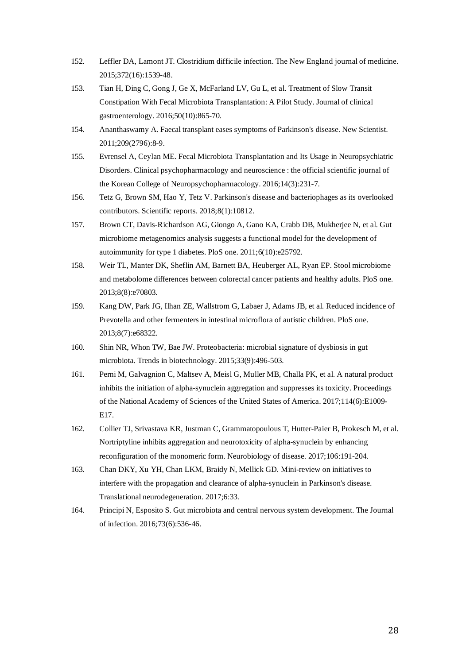- 152. Leffler DA, Lamont JT. Clostridium difficile infection. The New England journal of medicine. 2015;372(16):1539-48.
- 153. Tian H, Ding C, Gong J, Ge X, McFarland LV, Gu L, et al. Treatment of Slow Transit Constipation With Fecal Microbiota Transplantation: A Pilot Study. Journal of clinical gastroenterology. 2016;50(10):865-70.
- 154. Ananthaswamy A. Faecal transplant eases symptoms of Parkinson's disease. New Scientist. 2011;209(2796):8-9.
- 155. Evrensel A, Ceylan ME. Fecal Microbiota Transplantation and Its Usage in Neuropsychiatric Disorders. Clinical psychopharmacology and neuroscience : the official scientific journal of the Korean College of Neuropsychopharmacology. 2016;14(3):231-7.
- 156. Tetz G, Brown SM, Hao Y, Tetz V. Parkinson's disease and bacteriophages as its overlooked contributors. Scientific reports. 2018;8(1):10812.
- 157. Brown CT, Davis-Richardson AG, Giongo A, Gano KA, Crabb DB, Mukherjee N, et al. Gut microbiome metagenomics analysis suggests a functional model for the development of autoimmunity for type 1 diabetes. PloS one. 2011;6(10):e25792.
- 158. Weir TL, Manter DK, Sheflin AM, Barnett BA, Heuberger AL, Ryan EP. Stool microbiome and metabolome differences between colorectal cancer patients and healthy adults. PloS one. 2013;8(8):e70803.
- 159. Kang DW, Park JG, Ilhan ZE, Wallstrom G, Labaer J, Adams JB, et al. Reduced incidence of Prevotella and other fermenters in intestinal microflora of autistic children. PloS one. 2013;8(7):e68322.
- 160. Shin NR, Whon TW, Bae JW. Proteobacteria: microbial signature of dysbiosis in gut microbiota. Trends in biotechnology. 2015;33(9):496-503.
- 161. Perni M, Galvagnion C, Maltsev A, Meisl G, Muller MB, Challa PK, et al. A natural product inhibits the initiation of alpha-synuclein aggregation and suppresses its toxicity. Proceedings of the National Academy of Sciences of the United States of America. 2017;114(6):E1009- E17.
- 162. Collier TJ, Srivastava KR, Justman C, Grammatopoulous T, Hutter-Paier B, Prokesch M, et al. Nortriptyline inhibits aggregation and neurotoxicity of alpha-synuclein by enhancing reconfiguration of the monomeric form. Neurobiology of disease. 2017;106:191-204.
- 163. Chan DKY, Xu YH, Chan LKM, Braidy N, Mellick GD. Mini-review on initiatives to interfere with the propagation and clearance of alpha-synuclein in Parkinson's disease. Translational neurodegeneration. 2017;6:33.
- 164. Principi N, Esposito S. Gut microbiota and central nervous system development. The Journal of infection. 2016;73(6):536-46.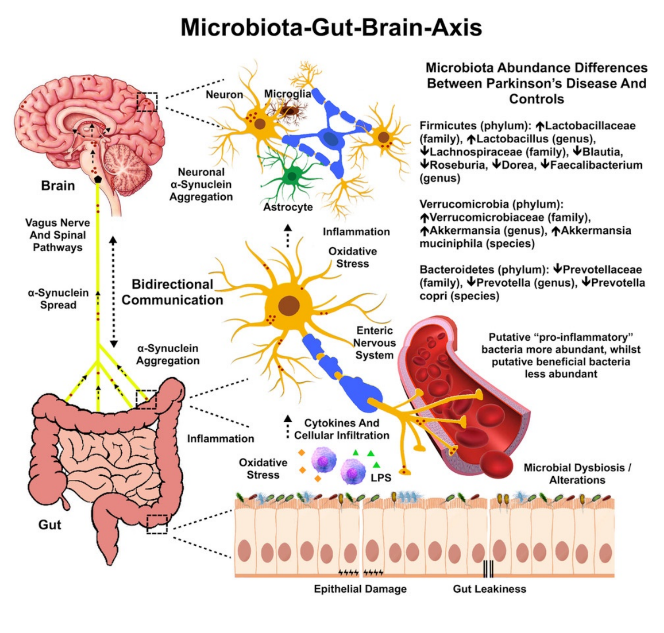#### Microbiota-Gut-Brain-Axis



**Gut Leakiness**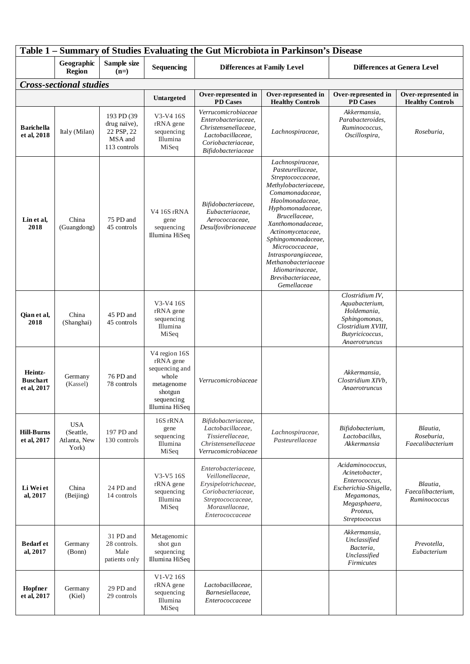| Table 1 – Summary of Studies Evaluating the Gut Microbiota in Parkinson's Disease |                                                  |                                                                     |                                                                                                                |                                                                                                                                                 |                                                                                                                                                                                                                                                                                                                                                       |                                                                                                                                         |                                                |
|-----------------------------------------------------------------------------------|--------------------------------------------------|---------------------------------------------------------------------|----------------------------------------------------------------------------------------------------------------|-------------------------------------------------------------------------------------------------------------------------------------------------|-------------------------------------------------------------------------------------------------------------------------------------------------------------------------------------------------------------------------------------------------------------------------------------------------------------------------------------------------------|-----------------------------------------------------------------------------------------------------------------------------------------|------------------------------------------------|
|                                                                                   | Geographic<br><b>Region</b>                      | Sample size<br>$(n=)$                                               | Sequencing                                                                                                     | <b>Differences at Family Level</b>                                                                                                              |                                                                                                                                                                                                                                                                                                                                                       | <b>Differences at Genera Level</b>                                                                                                      |                                                |
| <b>Cross-sectional studies</b>                                                    |                                                  |                                                                     |                                                                                                                |                                                                                                                                                 |                                                                                                                                                                                                                                                                                                                                                       |                                                                                                                                         |                                                |
|                                                                                   |                                                  |                                                                     | <b>Untargeted</b>                                                                                              | Over-represented in<br>PD Cases                                                                                                                 | Over-represented in<br><b>Healthy Controls</b>                                                                                                                                                                                                                                                                                                        | Over-represented in<br><b>PD</b> Cases                                                                                                  | Over-represented in<br><b>Healthy Controls</b> |
| <b>Barichella</b><br>et al, 2018                                                  | Italy (Milan)                                    | 193 PD (39<br>drug naïve),<br>22 PSP, 22<br>MSA and<br>113 controls | V3-V4 16S<br>rRNA gene<br>sequencing<br>Illumina<br>MiSeq                                                      | Verrucomicrobiaceae<br>Enterobacteriaceae,<br>Christensenellaceae.<br>Lactobacillaceae,<br>Coriobacteriaceae,<br>Bifidobacteriaceae             | Lachnospiraceae,                                                                                                                                                                                                                                                                                                                                      | Akkermansia,<br>Parabacteroides,<br>Ruminococcus,<br>Oscillospira,                                                                      | Roseburia,                                     |
| Lin et al,<br>2018                                                                | China<br>(Guangdong)                             | 75 PD and<br>45 controls                                            | V4 16S rRNA<br>gene<br>sequencing<br>Illumina HiSeq                                                            | Bifidobacteriaceae,<br>Eubacteriaceae.<br>Aerococcaceae,<br>Desulfovibrionaceae                                                                 | Lachnospiraceae,<br>Pasteurellaceae,<br>Streptococcaceae,<br>Methylobacteriaceae,<br>Comamonadaceae,<br>Haolmonadaceae,<br>Hyphomonadaceae,<br>Brucellaceae,<br>Xanthomonadaceae,<br>Actinomycetaceae,<br>Sphingomonadaceae,<br>Micrococcaceae,<br>Intrasporangiaceae,<br>Methanobacteriaceae<br>Idiomarinaceae.<br>Brevibacteriaceae,<br>Gemellaceae |                                                                                                                                         |                                                |
| Qian et al,<br>2018                                                               | China<br>(Shanghai)                              | 45 PD and<br>45 controls                                            | V3-V4 16S<br>rRNA gene<br>sequencing<br>Illumina<br>MiSeq                                                      |                                                                                                                                                 |                                                                                                                                                                                                                                                                                                                                                       | Clostridium IV,<br>Aquabacterium,<br>Holdemania,<br>Sphingomonas,<br>Clostridium XVIII,<br>Butyricicoccus,<br>Anaerotruncus             |                                                |
| Heintz-<br><b>Buschart</b><br>et al, 2017                                         | Germany<br>(Kassel)                              | 76 PD and<br>78 controls                                            | V4 region 16S<br>rRNA gene<br>sequencing and<br>whole<br>metagenome<br>shotgun<br>sequencing<br>Illumina HiSeq | Verrucomicrobiaceae                                                                                                                             |                                                                                                                                                                                                                                                                                                                                                       | Akkermansia,<br>Clostridium XIVb,<br>Anaerotruncus                                                                                      |                                                |
| <b>Hill-Burns</b><br>et al, 2017                                                  | <b>USA</b><br>(Seattle,<br>Atlanta, New<br>York) | 197 PD and<br>130 controls                                          | 16S rRNA<br>gene<br>sequencing<br>Illumina<br>MiSeq                                                            | Bifidobacteriaceae,<br>Lactobacillaceae,<br>Tissierellaceae,<br>Christensenellaceae<br>Verrucomicrobiaceae                                      | Lachnospiraceae,<br>Pasteurellaceae                                                                                                                                                                                                                                                                                                                   | Bifidobacterium,<br>Lactobacillus,<br>Akkermansia                                                                                       | Blautia,<br>Roseburia,<br>Faecalibacterium     |
| Li Wei et<br>al, 2017                                                             | China<br>(Beijing)                               | 24 PD and<br>14 controls                                            | V3-V5 16S<br>rRNA gene<br>sequencing<br>Illumina<br>MiSeq                                                      | Enterobacteriaceae,<br>Veillonellaceae.<br>Erysipelotrichaceae,<br>Coriobacteriaceae,<br>Streptococcaceae,<br>Moraxellaceae,<br>Enterococcaceae |                                                                                                                                                                                                                                                                                                                                                       | Acidaminococcus,<br>Acinetobacter,<br>Enterococcus,<br>Escherichia-Shigella,<br>Megamonas,<br>Megasphaera,<br>Proteus.<br>Streptococcus | Blautia,<br>Faecalibacterium,<br>Ruminococcus  |
| <b>Bedarf</b> et<br>al, 2017                                                      | Germany<br>(Bonn)                                | 31 PD and<br>28 controls.<br>Male<br>patients only                  | Metagenomic<br>shot gun<br>sequencing<br>Illumina HiSeq                                                        |                                                                                                                                                 |                                                                                                                                                                                                                                                                                                                                                       | Akkermansia,<br>Unclassified<br>Bacteria,<br>Unclassified<br><b>Firmicutes</b>                                                          | Prevotella,<br>Eubacterium                     |
| Hopfner<br>et al, 2017                                                            | Germany<br>(Kiel)                                | 29 PD and<br>29 controls                                            | V1-V2 16S<br>rRNA gene<br>sequencing<br>Illumina<br>MiSeq                                                      | Lactobacillaceae,<br>Barnesiellaceae,<br>Enterococcaceae                                                                                        |                                                                                                                                                                                                                                                                                                                                                       |                                                                                                                                         |                                                |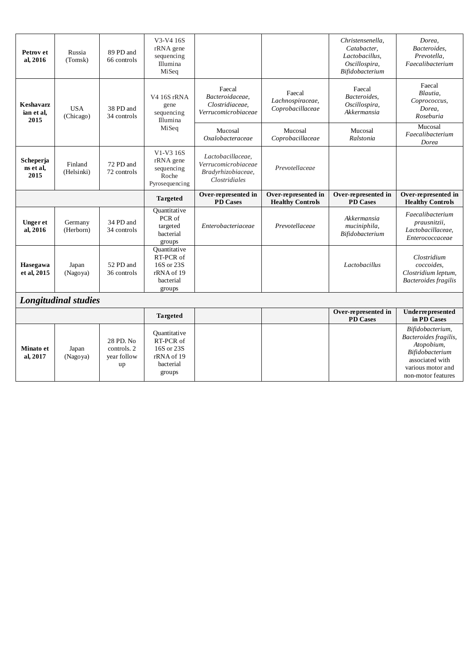| Petrov et<br>al, 2016           | Russia<br>(Tomsk)       | 89 PD and<br>66 controls | $V3-V416S$<br>rRNA gene<br>sequencing<br>Illumina<br>MiSeq                   |                                                                                 |                                                | Christensenella,<br>Catabacter.<br>Lactobacillus,<br>Oscillospira,<br>Bifidobacterium | Dorea,<br>Bacteroides,<br>Prevotella,<br>Faecalibacterium                |
|---------------------------------|-------------------------|--------------------------|------------------------------------------------------------------------------|---------------------------------------------------------------------------------|------------------------------------------------|---------------------------------------------------------------------------------------|--------------------------------------------------------------------------|
| Keshavarz<br>ian et al.<br>2015 | <b>USA</b><br>(Chicago) | 38 PD and<br>34 controls | V4 16S rRNA<br>gene<br>sequencing<br>Illumina<br>MiSeq                       | Faecal<br>Bacteroidaceae.<br>Clostridiaceae,<br>Verrucomicrobiaceae             | Faecal<br>Lachnospiraceae,<br>Coprobacillaceae | Faecal<br>Bacteroides,<br>Oscillospira,<br>Akkermansia                                | Faecal<br>Blautia.<br>Coprococcus,<br>Dorea,<br>Roseburia                |
|                                 |                         |                          |                                                                              | Mucosal<br><i>Oxalobacteraceae</i>                                              | Mucosal<br>Coprobacillaceae                    | Mucosal<br>Ralstonia                                                                  | Mucosal<br>Faecalibacterium<br>Dorea                                     |
| Scheperja<br>ns et al.<br>2015  | Finland<br>(Helsinki)   | 72 PD and<br>72 controls | V1-V3 16S<br>rRNA gene<br>sequencing<br>Roche<br>Pyrosequencing              | Lactobacillaceae.<br>Verrucomicrobiaceae<br>Bradyrhizobiaceae,<br>Clostridiales | Prevotellaceae                                 |                                                                                       |                                                                          |
|                                 |                         |                          | <b>Targeted</b>                                                              | Over-represented in<br><b>PD</b> Cases                                          | Over-represented in<br><b>Healthy Controls</b> | Over-represented in<br><b>PD</b> Cases                                                | Over-represented in<br><b>Healthy Controls</b>                           |
| Ungeret<br>al, 2016             | Germany                 | 34 PD and                | Quantitative<br>PCR of<br>targeted                                           | Enterobacteriaceae                                                              | Prevotellaceae                                 | Akkermansia<br>muciniphila,                                                           | Faecalibacterium<br>prausnitzii,                                         |
|                                 | (Herborn)               | 34 controls              | bacterial<br>groups                                                          |                                                                                 |                                                | Bifidobacterium                                                                       | Lactobacillaceae,<br>Enterococcaceae                                     |
| Hasegawa<br>et al, 2015         | Japan<br>(Nagoya)       | 52 PD and<br>36 controls | Quantitative<br>RT-PCR of<br>16S or 23S<br>rRNA of 19<br>bacterial<br>groups |                                                                                 |                                                | Lactobacillus                                                                         | Clostridium<br>coccoides,<br>Clostridium leptum,<br>Bacteroides fragilis |
|                                 | Longitudinal studies    |                          |                                                                              |                                                                                 |                                                |                                                                                       |                                                                          |
|                                 |                         |                          | <b>Targeted</b>                                                              |                                                                                 |                                                | Over-represented in<br><b>PD</b> Cases                                                | Underrepresented<br>in PD Cases                                          |